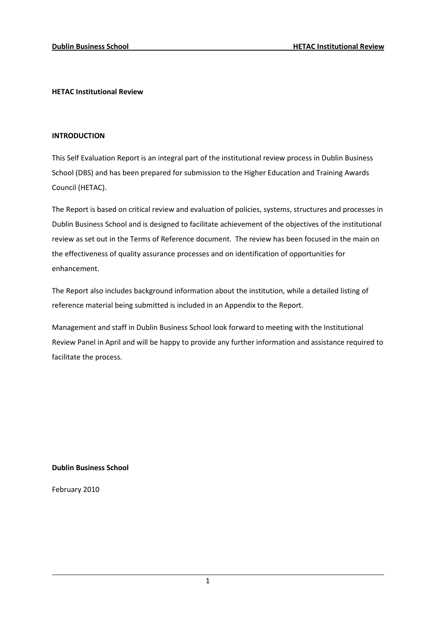## HETAC Institutional Review

## INTRODUCTION

This Self Evaluation Report is an integral part of the institutional review process in Dublin Business School (DBS) and has been prepared for submission to the Higher Education and Training Awards Council (HETAC).

The Report is based on critical review and evaluation of policies, systems, structures and processes in Dublin Business School and is designed to facilitate achievement of the objectives of the institutional review as set out in the Terms of Reference document. The review has been focused in the main on the effectiveness of quality assurance processes and on identification of opportunities for enhancement.

The Report also includes background information about the institution, while a detailed listing of reference material being submitted is included in an Appendix to the Report.

Management and staff in Dublin Business School look forward to meeting with the Institutional Review Panel in April and will be happy to provide any further information and assistance required to facilitate the process.

## Dublin Business School

February 2010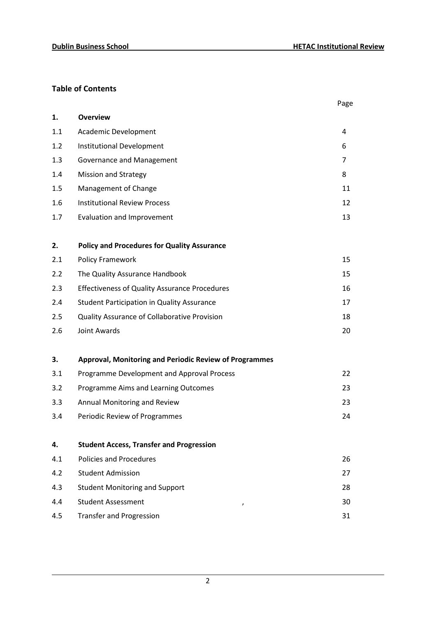# Table of Contents

|     |                                                        | Page |
|-----|--------------------------------------------------------|------|
| 1.  | <b>Overview</b>                                        |      |
| 1.1 | Academic Development                                   | 4    |
| 1.2 | <b>Institutional Development</b>                       | 6    |
| 1.3 | Governance and Management                              | 7    |
| 1.4 | <b>Mission and Strategy</b>                            | 8    |
| 1.5 | Management of Change                                   | 11   |
| 1.6 | <b>Institutional Review Process</b>                    | 12   |
| 1.7 | Evaluation and Improvement                             | 13   |
| 2.  | <b>Policy and Procedures for Quality Assurance</b>     |      |
| 2.1 | <b>Policy Framework</b>                                | 15   |
| 2.2 | The Quality Assurance Handbook                         | 15   |
| 2.3 | <b>Effectiveness of Quality Assurance Procedures</b>   | 16   |
| 2.4 | <b>Student Participation in Quality Assurance</b>      | 17   |
| 2.5 | Quality Assurance of Collaborative Provision           | 18   |
| 2.6 | <b>Joint Awards</b>                                    | 20   |
| 3.  | Approval, Monitoring and Periodic Review of Programmes |      |
| 3.1 | Programme Development and Approval Process             | 22   |
| 3.2 | Programme Aims and Learning Outcomes                   | 23   |
| 3.3 | Annual Monitoring and Review                           | 23   |
| 3.4 | Periodic Review of Programmes                          | 24   |
| 4.  | <b>Student Access, Transfer and Progression</b>        |      |
| 4.1 | <b>Policies and Procedures</b>                         | 26   |
| 4.2 | <b>Student Admission</b>                               | 27   |
| 4.3 | <b>Student Monitoring and Support</b>                  | 28   |
| 4.4 | <b>Student Assessment</b><br>,                         | 30   |
| 4.5 | <b>Transfer and Progression</b>                        | 31   |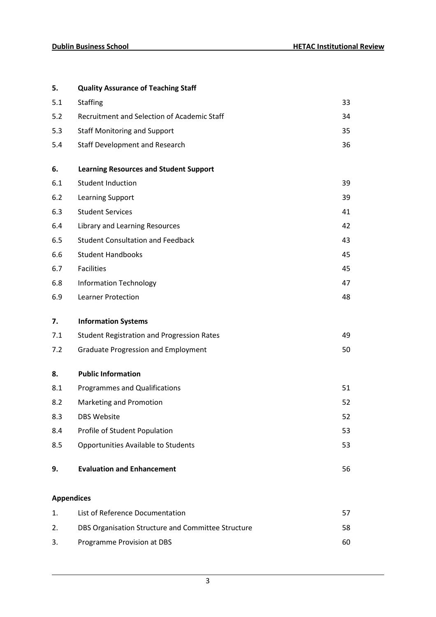| 5.                | <b>Quality Assurance of Teaching Staff</b>         |    |  |  |  |
|-------------------|----------------------------------------------------|----|--|--|--|
| 5.1               | <b>Staffing</b>                                    | 33 |  |  |  |
| 5.2               | Recruitment and Selection of Academic Staff        | 34 |  |  |  |
| 5.3               | <b>Staff Monitoring and Support</b>                | 35 |  |  |  |
| 5.4               | Staff Development and Research                     | 36 |  |  |  |
| 6.                | <b>Learning Resources and Student Support</b>      |    |  |  |  |
| 6.1               | <b>Student Induction</b>                           | 39 |  |  |  |
| 6.2               | Learning Support                                   |    |  |  |  |
| 6.3               | <b>Student Services</b>                            | 41 |  |  |  |
| 6.4               | Library and Learning Resources                     | 42 |  |  |  |
| 6.5               | <b>Student Consultation and Feedback</b>           | 43 |  |  |  |
| 6.6               | <b>Student Handbooks</b>                           | 45 |  |  |  |
| 6.7               | <b>Facilities</b>                                  | 45 |  |  |  |
| 6.8               | <b>Information Technology</b>                      | 47 |  |  |  |
| 6.9               | <b>Learner Protection</b>                          | 48 |  |  |  |
| 7.                | <b>Information Systems</b>                         |    |  |  |  |
| 7.1               | <b>Student Registration and Progression Rates</b>  | 49 |  |  |  |
| 7.2               | <b>Graduate Progression and Employment</b>         | 50 |  |  |  |
| 8.                | <b>Public Information</b>                          |    |  |  |  |
| 8.1               | <b>Programmes and Qualifications</b>               | 51 |  |  |  |
| 8.2               | Marketing and Promotion                            | 52 |  |  |  |
| 8.3               | <b>DBS Website</b>                                 | 52 |  |  |  |
| 8.4               | Profile of Student Population                      | 53 |  |  |  |
| 8.5               | Opportunities Available to Students                | 53 |  |  |  |
| 9.                | <b>Evaluation and Enhancement</b>                  | 56 |  |  |  |
| <b>Appendices</b> |                                                    |    |  |  |  |
| 1.                | List of Reference Documentation                    | 57 |  |  |  |
| 2.                | DBS Organisation Structure and Committee Structure | 58 |  |  |  |
| 3.                | Programme Provision at DBS                         | 60 |  |  |  |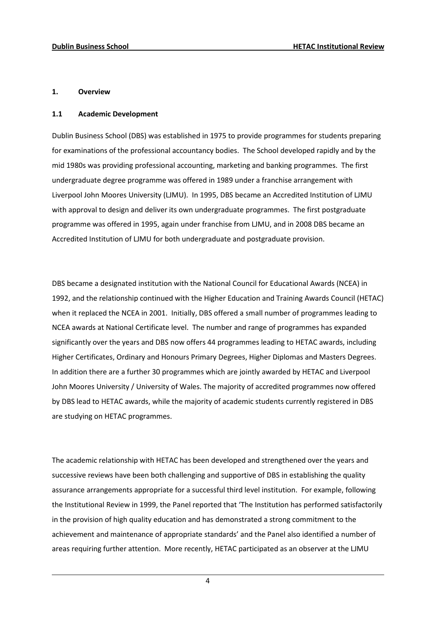## 1. Overview

## 1.1 Academic Development

Dublin Business School (DBS) was established in 1975 to provide programmes for students preparing for examinations of the professional accountancy bodies. The School developed rapidly and by the mid 1980s was providing professional accounting, marketing and banking programmes. The first undergraduate degree programme was offered in 1989 under a franchise arrangement with Liverpool John Moores University (LJMU). In 1995, DBS became an Accredited Institution of LJMU with approval to design and deliver its own undergraduate programmes. The first postgraduate programme was offered in 1995, again under franchise from LJMU, and in 2008 DBS became an Accredited Institution of LJMU for both undergraduate and postgraduate provision.

DBS became a designated institution with the National Council for Educational Awards (NCEA) in 1992, and the relationship continued with the Higher Education and Training Awards Council (HETAC) when it replaced the NCEA in 2001. Initially, DBS offered a small number of programmes leading to NCEA awards at National Certificate level. The number and range of programmes has expanded significantly over the years and DBS now offers 44 programmes leading to HETAC awards, including Higher Certificates, Ordinary and Honours Primary Degrees, Higher Diplomas and Masters Degrees. In addition there are a further 30 programmes which are jointly awarded by HETAC and Liverpool John Moores University / University of Wales. The majority of accredited programmes now offered by DBS lead to HETAC awards, while the majority of academic students currently registered in DBS are studying on HETAC programmes.

The academic relationship with HETAC has been developed and strengthened over the years and successive reviews have been both challenging and supportive of DBS in establishing the quality assurance arrangements appropriate for a successful third level institution. For example, following the Institutional Review in 1999, the Panel reported that 'The Institution has performed satisfactorily in the provision of high quality education and has demonstrated a strong commitment to the achievement and maintenance of appropriate standards' and the Panel also identified a number of areas requiring further attention. More recently, HETAC participated as an observer at the LJMU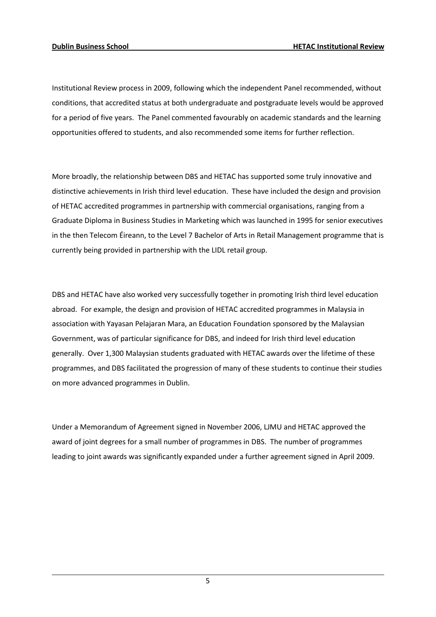Institutional Review process in 2009, following which the independent Panel recommended, without conditions, that accredited status at both undergraduate and postgraduate levels would be approved for a period of five years. The Panel commented favourably on academic standards and the learning opportunities offered to students, and also recommended some items for further reflection.

More broadly, the relationship between DBS and HETAC has supported some truly innovative and distinctive achievements in Irish third level education. These have included the design and provision of HETAC accredited programmes in partnership with commercial organisations, ranging from a Graduate Diploma in Business Studies in Marketing which was launched in 1995 for senior executives in the then Telecom Éireann, to the Level 7 Bachelor of Arts in Retail Management programme that is currently being provided in partnership with the LIDL retail group.

DBS and HETAC have also worked very successfully together in promoting Irish third level education abroad. For example, the design and provision of HETAC accredited programmes in Malaysia in association with Yayasan Pelajaran Mara, an Education Foundation sponsored by the Malaysian Government, was of particular significance for DBS, and indeed for Irish third level education generally. Over 1,300 Malaysian students graduated with HETAC awards over the lifetime of these programmes, and DBS facilitated the progression of many of these students to continue their studies on more advanced programmes in Dublin.

Under a Memorandum of Agreement signed in November 2006, LJMU and HETAC approved the award of joint degrees for a small number of programmes in DBS. The number of programmes leading to joint awards was significantly expanded under a further agreement signed in April 2009.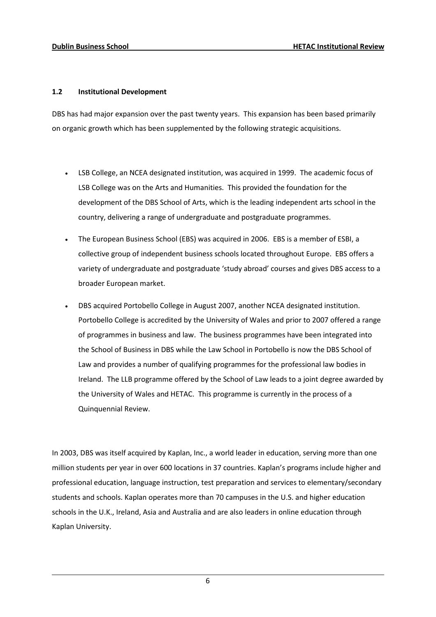## 1.2 Institutional Development

DBS has had major expansion over the past twenty years. This expansion has been based primarily on organic growth which has been supplemented by the following strategic acquisitions.

- LSB College, an NCEA designated institution, was acquired in 1999. The academic focus of LSB College was on the Arts and Humanities. This provided the foundation for the development of the DBS School of Arts, which is the leading independent arts school in the country, delivering a range of undergraduate and postgraduate programmes.
- The European Business School (EBS) was acquired in 2006. EBS is a member of ESBI, a collective group of independent business schools located throughout Europe. EBS offers a variety of undergraduate and postgraduate 'study abroad' courses and gives DBS access to a broader European market.
- DBS acquired Portobello College in August 2007, another NCEA designated institution. Portobello College is accredited by the University of Wales and prior to 2007 offered a range of programmes in business and law. The business programmes have been integrated into the School of Business in DBS while the Law School in Portobello is now the DBS School of Law and provides a number of qualifying programmes for the professional law bodies in Ireland. The LLB programme offered by the School of Law leads to a joint degree awarded by the University of Wales and HETAC. This programme is currently in the process of a Quinquennial Review.

In 2003, DBS was itself acquired by Kaplan, Inc., a world leader in education, serving more than one million students per year in over 600 locations in 37 countries. Kaplan's programs include higher and professional education, language instruction, test preparation and services to elementary/secondary students and schools. Kaplan operates more than 70 campuses in the U.S. and higher education schools in the U.K., Ireland, Asia and Australia and are also leaders in online education through Kaplan University.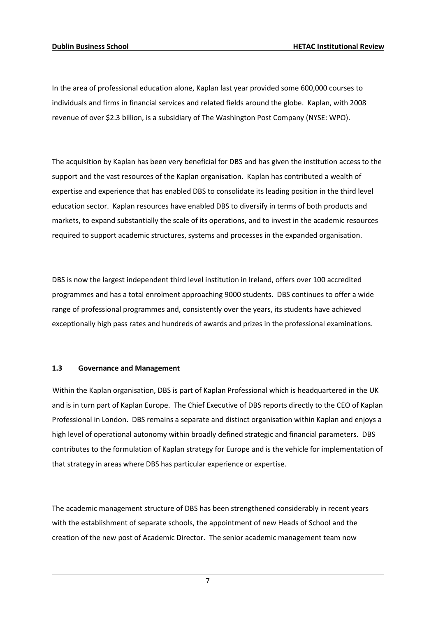In the area of professional education alone, Kaplan last year provided some 600,000 courses to individuals and firms in financial services and related fields around the globe. Kaplan, with 2008 revenue of over \$2.3 billion, is a subsidiary of The Washington Post Company (NYSE: WPO).

The acquisition by Kaplan has been very beneficial for DBS and has given the institution access to the support and the vast resources of the Kaplan organisation. Kaplan has contributed a wealth of expertise and experience that has enabled DBS to consolidate its leading position in the third level education sector. Kaplan resources have enabled DBS to diversify in terms of both products and markets, to expand substantially the scale of its operations, and to invest in the academic resources required to support academic structures, systems and processes in the expanded organisation.

DBS is now the largest independent third level institution in Ireland, offers over 100 accredited programmes and has a total enrolment approaching 9000 students. DBS continues to offer a wide range of professional programmes and, consistently over the years, its students have achieved exceptionally high pass rates and hundreds of awards and prizes in the professional examinations.

## 1.3 Governance and Management

Within the Kaplan organisation, DBS is part of Kaplan Professional which is headquartered in the UK and is in turn part of Kaplan Europe. The Chief Executive of DBS reports directly to the CEO of Kaplan Professional in London. DBS remains a separate and distinct organisation within Kaplan and enjoys a high level of operational autonomy within broadly defined strategic and financial parameters. DBS contributes to the formulation of Kaplan strategy for Europe and is the vehicle for implementation of that strategy in areas where DBS has particular experience or expertise.

The academic management structure of DBS has been strengthened considerably in recent years with the establishment of separate schools, the appointment of new Heads of School and the creation of the new post of Academic Director. The senior academic management team now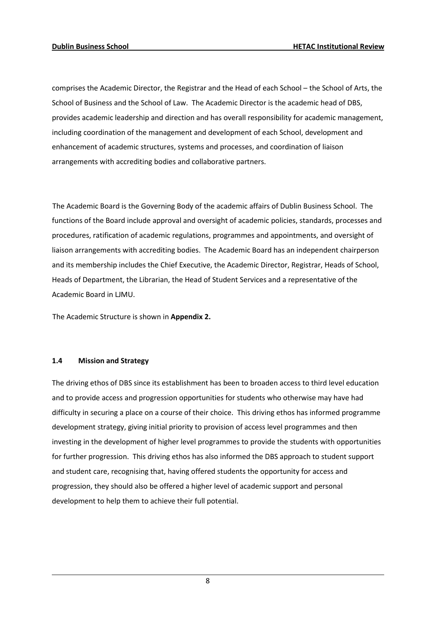comprises the Academic Director, the Registrar and the Head of each School – the School of Arts, the School of Business and the School of Law. The Academic Director is the academic head of DBS, provides academic leadership and direction and has overall responsibility for academic management, including coordination of the management and development of each School, development and enhancement of academic structures, systems and processes, and coordination of liaison arrangements with accrediting bodies and collaborative partners.

The Academic Board is the Governing Body of the academic affairs of Dublin Business School. The functions of the Board include approval and oversight of academic policies, standards, processes and procedures, ratification of academic regulations, programmes and appointments, and oversight of liaison arrangements with accrediting bodies. The Academic Board has an independent chairperson and its membership includes the Chief Executive, the Academic Director, Registrar, Heads of School, Heads of Department, the Librarian, the Head of Student Services and a representative of the Academic Board in LJMU.

The Academic Structure is shown in Appendix 2.

## 1.4 Mission and Strategy

The driving ethos of DBS since its establishment has been to broaden access to third level education and to provide access and progression opportunities for students who otherwise may have had difficulty in securing a place on a course of their choice. This driving ethos has informed programme development strategy, giving initial priority to provision of access level programmes and then investing in the development of higher level programmes to provide the students with opportunities for further progression. This driving ethos has also informed the DBS approach to student support and student care, recognising that, having offered students the opportunity for access and progression, they should also be offered a higher level of academic support and personal development to help them to achieve their full potential.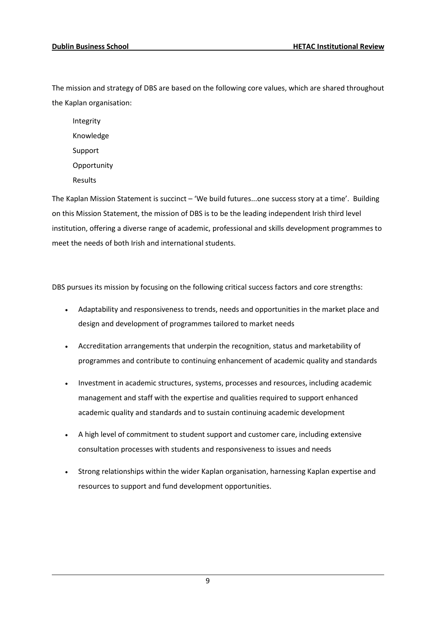The mission and strategy of DBS are based on the following core values, which are shared throughout the Kaplan organisation:

Integrity Knowledge Support **Opportunity** Results

The Kaplan Mission Statement is succinct – 'We build futures...one success story at a time'. Building on this Mission Statement, the mission of DBS is to be the leading independent Irish third level institution, offering a diverse range of academic, professional and skills development programmes to meet the needs of both Irish and international students.

DBS pursues its mission by focusing on the following critical success factors and core strengths:

- Adaptability and responsiveness to trends, needs and opportunities in the market place and design and development of programmes tailored to market needs
- Accreditation arrangements that underpin the recognition, status and marketability of programmes and contribute to continuing enhancement of academic quality and standards
- Investment in academic structures, systems, processes and resources, including academic management and staff with the expertise and qualities required to support enhanced academic quality and standards and to sustain continuing academic development
- A high level of commitment to student support and customer care, including extensive consultation processes with students and responsiveness to issues and needs
- Strong relationships within the wider Kaplan organisation, harnessing Kaplan expertise and resources to support and fund development opportunities.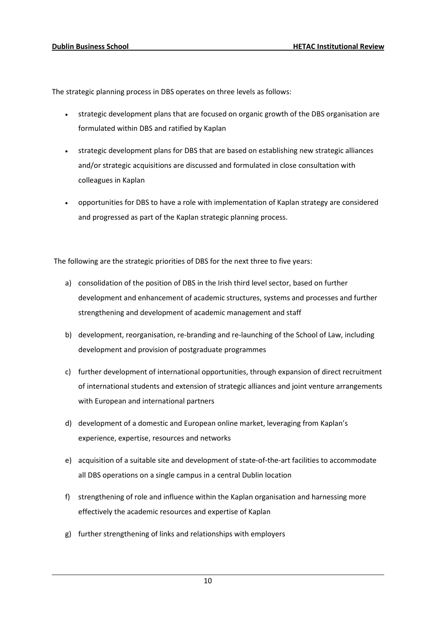The strategic planning process in DBS operates on three levels as follows:

- strategic development plans that are focused on organic growth of the DBS organisation are formulated within DBS and ratified by Kaplan
- strategic development plans for DBS that are based on establishing new strategic alliances and/or strategic acquisitions are discussed and formulated in close consultation with colleagues in Kaplan
- opportunities for DBS to have a role with implementation of Kaplan strategy are considered and progressed as part of the Kaplan strategic planning process.

The following are the strategic priorities of DBS for the next three to five years:

- a) consolidation of the position of DBS in the Irish third level sector, based on further development and enhancement of academic structures, systems and processes and further strengthening and development of academic management and staff
- b) development, reorganisation, re-branding and re-launching of the School of Law, including development and provision of postgraduate programmes
- c) further development of international opportunities, through expansion of direct recruitment of international students and extension of strategic alliances and joint venture arrangements with European and international partners
- d) development of a domestic and European online market, leveraging from Kaplan's experience, expertise, resources and networks
- e) acquisition of a suitable site and development of state-of-the-art facilities to accommodate all DBS operations on a single campus in a central Dublin location
- f) strengthening of role and influence within the Kaplan organisation and harnessing more effectively the academic resources and expertise of Kaplan
- g) further strengthening of links and relationships with employers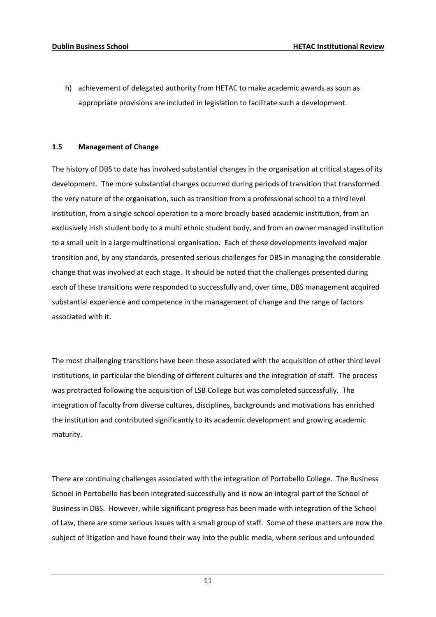h) achievement of delegated authority from HETAC to make academic awards as soon as appropriate provisions are included in legislation to facilitate such a development.

# 1.5 Management of Change

The history of DBS to date has involved substantial changes in the organisation at critical stages of its development. The more substantial changes occurred during periods of transition that transformed the very nature of the organisation, such as transition from a professional school to a third level institution, from a single school operation to a more broadly based academic institution, from an exclusively Irish student body to a multi ethnic student body, and from an owner managed institution to a small unit in a large multinational organisation. Each of these developments involved major transition and, by any standards, presented serious challenges for DBS in managing the considerable change that was involved at each stage. It should be noted that the challenges presented during each of these transitions were responded to successfully and, over time, DBS management acquired substantial experience and competence in the management of change and the range of factors associated with it.

The most challenging transitions have been those associated with the acquisition of other third level institutions, in particular the blending of different cultures and the integration of staff. The process was protracted following the acquisition of LSB College but was completed successfully. The integration of faculty from diverse cultures, disciplines, backgrounds and motivations has enriched the institution and contributed significantly to its academic development and growing academic maturity.

There are continuing challenges associated with the integration of Portobello College. The Business School in Portobello has been integrated successfully and is now an integral part of the School of Business in DBS. However, while significant progress has been made with integration of the School of Law, there are some serious issues with a small group of staff. Some of these matters are now the subject of litigation and have found their way into the public media, where serious and unfounded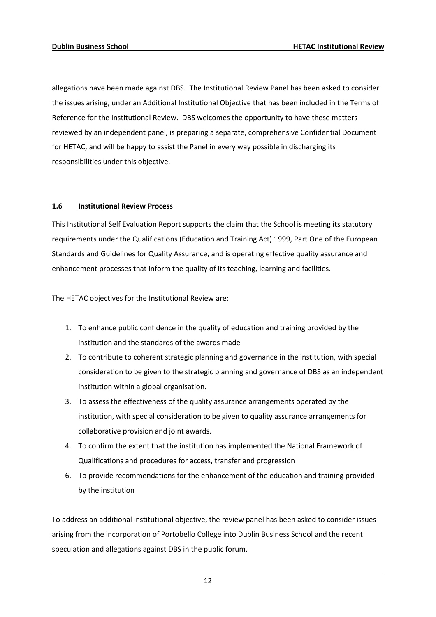allegations have been made against DBS. The Institutional Review Panel has been asked to consider the issues arising, under an Additional Institutional Objective that has been included in the Terms of Reference for the Institutional Review. DBS welcomes the opportunity to have these matters reviewed by an independent panel, is preparing a separate, comprehensive Confidential Document for HETAC, and will be happy to assist the Panel in every way possible in discharging its responsibilities under this objective.

# 1.6 Institutional Review Process

This Institutional Self Evaluation Report supports the claim that the School is meeting its statutory requirements under the Qualifications (Education and Training Act) 1999, Part One of the European Standards and Guidelines for Quality Assurance, and is operating effective quality assurance and enhancement processes that inform the quality of its teaching, learning and facilities.

The HETAC objectives for the Institutional Review are:

- 1. To enhance public confidence in the quality of education and training provided by the institution and the standards of the awards made
- 2. To contribute to coherent strategic planning and governance in the institution, with special consideration to be given to the strategic planning and governance of DBS as an independent institution within a global organisation.
- 3. To assess the effectiveness of the quality assurance arrangements operated by the institution, with special consideration to be given to quality assurance arrangements for collaborative provision and joint awards.
- 4. To confirm the extent that the institution has implemented the National Framework of Qualifications and procedures for access, transfer and progression
- 6. To provide recommendations for the enhancement of the education and training provided by the institution

To address an additional institutional objective, the review panel has been asked to consider issues arising from the incorporation of Portobello College into Dublin Business School and the recent speculation and allegations against DBS in the public forum.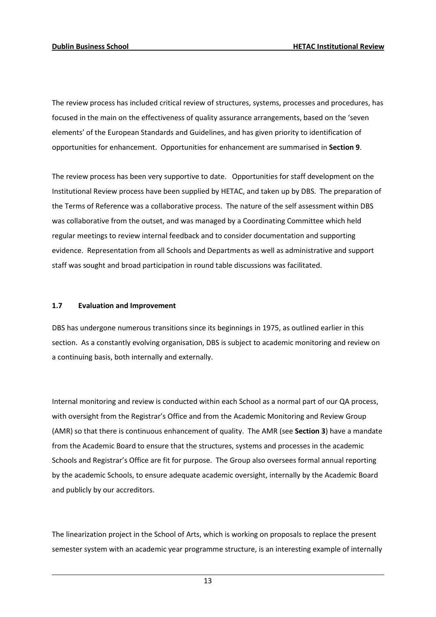The review process has included critical review of structures, systems, processes and procedures, has focused in the main on the effectiveness of quality assurance arrangements, based on the 'seven elements' of the European Standards and Guidelines, and has given priority to identification of opportunities for enhancement. Opportunities for enhancement are summarised in Section 9.

The review process has been very supportive to date. Opportunities for staff development on the Institutional Review process have been supplied by HETAC, and taken up by DBS. The preparation of the Terms of Reference was a collaborative process. The nature of the self assessment within DBS was collaborative from the outset, and was managed by a Coordinating Committee which held regular meetings to review internal feedback and to consider documentation and supporting evidence. Representation from all Schools and Departments as well as administrative and support staff was sought and broad participation in round table discussions was facilitated.

## 1.7 Evaluation and Improvement

DBS has undergone numerous transitions since its beginnings in 1975, as outlined earlier in this section. As a constantly evolving organisation, DBS is subject to academic monitoring and review on a continuing basis, both internally and externally.

Internal monitoring and review is conducted within each School as a normal part of our QA process, with oversight from the Registrar's Office and from the Academic Monitoring and Review Group (AMR) so that there is continuous enhancement of quality. The AMR (see Section 3) have a mandate from the Academic Board to ensure that the structures, systems and processes in the academic Schools and Registrar's Office are fit for purpose. The Group also oversees formal annual reporting by the academic Schools, to ensure adequate academic oversight, internally by the Academic Board and publicly by our accreditors.

The linearization project in the School of Arts, which is working on proposals to replace the present semester system with an academic year programme structure, is an interesting example of internally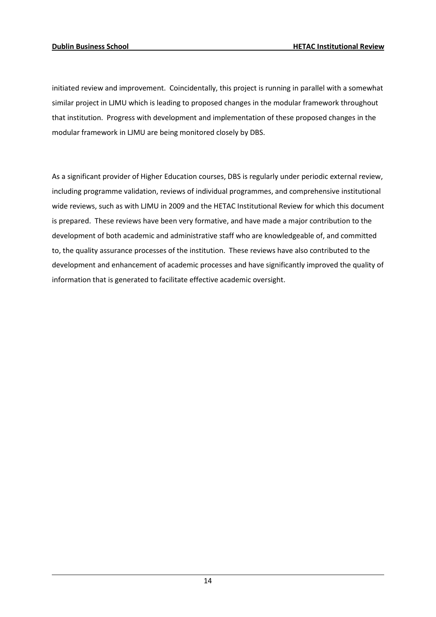initiated review and improvement. Coincidentally, this project is running in parallel with a somewhat similar project in LJMU which is leading to proposed changes in the modular framework throughout that institution. Progress with development and implementation of these proposed changes in the modular framework in LJMU are being monitored closely by DBS.

As a significant provider of Higher Education courses, DBS is regularly under periodic external review, including programme validation, reviews of individual programmes, and comprehensive institutional wide reviews, such as with LJMU in 2009 and the HETAC Institutional Review for which this document is prepared. These reviews have been very formative, and have made a major contribution to the development of both academic and administrative staff who are knowledgeable of, and committed to, the quality assurance processes of the institution. These reviews have also contributed to the development and enhancement of academic processes and have significantly improved the quality of information that is generated to facilitate effective academic oversight.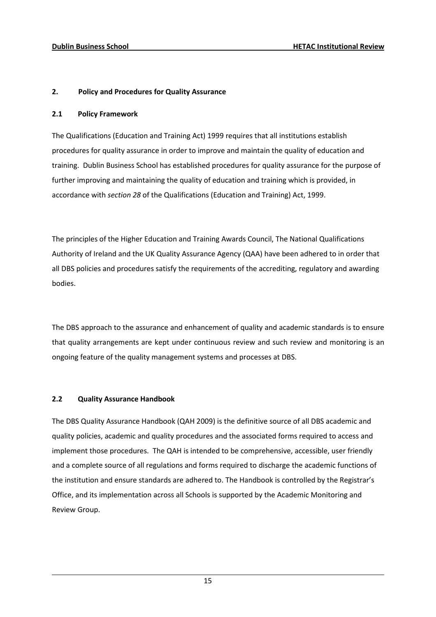# 2. Policy and Procedures for Quality Assurance

## 2.1 Policy Framework

The Qualifications (Education and Training Act) 1999 requires that all institutions establish procedures for quality assurance in order to improve and maintain the quality of education and training. Dublin Business School has established procedures for quality assurance for the purpose of further improving and maintaining the quality of education and training which is provided, in accordance with section 28 of the Qualifications (Education and Training) Act, 1999.

The principles of the Higher Education and Training Awards Council, The National Qualifications Authority of Ireland and the UK Quality Assurance Agency (QAA) have been adhered to in order that all DBS policies and procedures satisfy the requirements of the accrediting, regulatory and awarding bodies.

The DBS approach to the assurance and enhancement of quality and academic standards is to ensure that quality arrangements are kept under continuous review and such review and monitoring is an ongoing feature of the quality management systems and processes at DBS.

## 2.2 Quality Assurance Handbook

The DBS Quality Assurance Handbook (QAH 2009) is the definitive source of all DBS academic and quality policies, academic and quality procedures and the associated forms required to access and implement those procedures. The QAH is intended to be comprehensive, accessible, user friendly and a complete source of all regulations and forms required to discharge the academic functions of the institution and ensure standards are adhered to. The Handbook is controlled by the Registrar's Office, and its implementation across all Schools is supported by the Academic Monitoring and Review Group.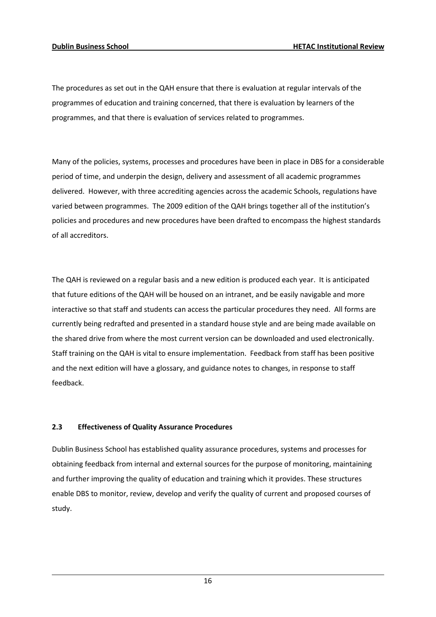The procedures as set out in the QAH ensure that there is evaluation at regular intervals of the programmes of education and training concerned, that there is evaluation by learners of the programmes, and that there is evaluation of services related to programmes.

Many of the policies, systems, processes and procedures have been in place in DBS for a considerable period of time, and underpin the design, delivery and assessment of all academic programmes delivered. However, with three accrediting agencies across the academic Schools, regulations have varied between programmes. The 2009 edition of the QAH brings together all of the institution's policies and procedures and new procedures have been drafted to encompass the highest standards of all accreditors.

The QAH is reviewed on a regular basis and a new edition is produced each year. It is anticipated that future editions of the QAH will be housed on an intranet, and be easily navigable and more interactive so that staff and students can access the particular procedures they need. All forms are currently being redrafted and presented in a standard house style and are being made available on the shared drive from where the most current version can be downloaded and used electronically. Staff training on the QAH is vital to ensure implementation. Feedback from staff has been positive and the next edition will have a glossary, and guidance notes to changes, in response to staff feedback.

# 2.3 Effectiveness of Quality Assurance Procedures

Dublin Business School has established quality assurance procedures, systems and processes for obtaining feedback from internal and external sources for the purpose of monitoring, maintaining and further improving the quality of education and training which it provides. These structures enable DBS to monitor, review, develop and verify the quality of current and proposed courses of study.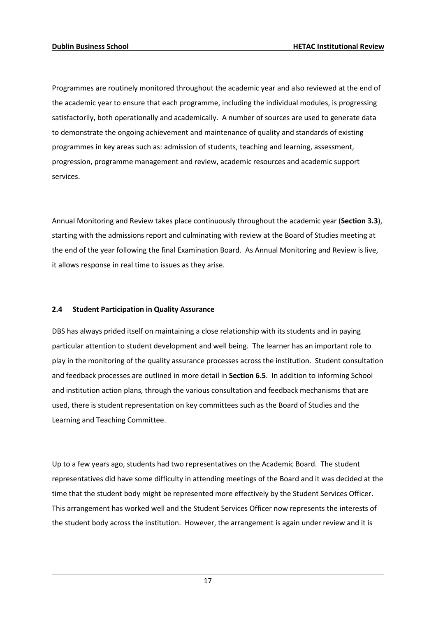Programmes are routinely monitored throughout the academic year and also reviewed at the end of the academic year to ensure that each programme, including the individual modules, is progressing satisfactorily, both operationally and academically. A number of sources are used to generate data to demonstrate the ongoing achievement and maintenance of quality and standards of existing programmes in key areas such as: admission of students, teaching and learning, assessment, progression, programme management and review, academic resources and academic support services.

Annual Monitoring and Review takes place continuously throughout the academic year (Section 3.3), starting with the admissions report and culminating with review at the Board of Studies meeting at the end of the year following the final Examination Board. As Annual Monitoring and Review is live, it allows response in real time to issues as they arise.

# 2.4 Student Participation in Quality Assurance

DBS has always prided itself on maintaining a close relationship with its students and in paying particular attention to student development and well being. The learner has an important role to play in the monitoring of the quality assurance processes across the institution. Student consultation and feedback processes are outlined in more detail in **Section 6.5**. In addition to informing School and institution action plans, through the various consultation and feedback mechanisms that are used, there is student representation on key committees such as the Board of Studies and the Learning and Teaching Committee.

Up to a few years ago, students had two representatives on the Academic Board. The student representatives did have some difficulty in attending meetings of the Board and it was decided at the time that the student body might be represented more effectively by the Student Services Officer. This arrangement has worked well and the Student Services Officer now represents the interests of the student body across the institution. However, the arrangement is again under review and it is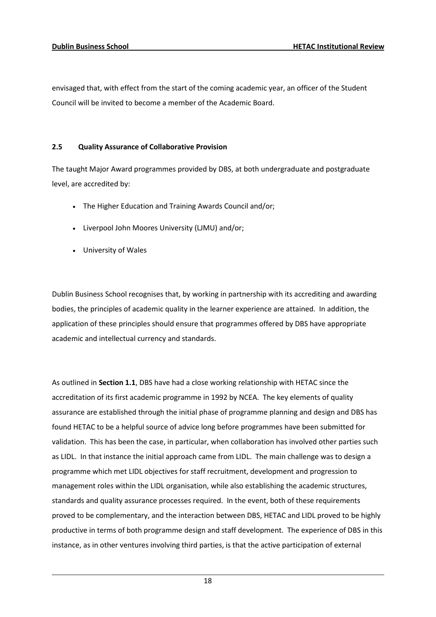envisaged that, with effect from the start of the coming academic year, an officer of the Student Council will be invited to become a member of the Academic Board.

# 2.5 Quality Assurance of Collaborative Provision

The taught Major Award programmes provided by DBS, at both undergraduate and postgraduate level, are accredited by:

- The Higher Education and Training Awards Council and/or;
- Liverpool John Moores University (LJMU) and/or;
- University of Wales

Dublin Business School recognises that, by working in partnership with its accrediting and awarding bodies, the principles of academic quality in the learner experience are attained. In addition, the application of these principles should ensure that programmes offered by DBS have appropriate academic and intellectual currency and standards.

As outlined in Section 1.1, DBS have had a close working relationship with HETAC since the accreditation of its first academic programme in 1992 by NCEA. The key elements of quality assurance are established through the initial phase of programme planning and design and DBS has found HETAC to be a helpful source of advice long before programmes have been submitted for validation. This has been the case, in particular, when collaboration has involved other parties such as LIDL. In that instance the initial approach came from LIDL. The main challenge was to design a programme which met LIDL objectives for staff recruitment, development and progression to management roles within the LIDL organisation, while also establishing the academic structures, standards and quality assurance processes required. In the event, both of these requirements proved to be complementary, and the interaction between DBS, HETAC and LIDL proved to be highly productive in terms of both programme design and staff development. The experience of DBS in this instance, as in other ventures involving third parties, is that the active participation of external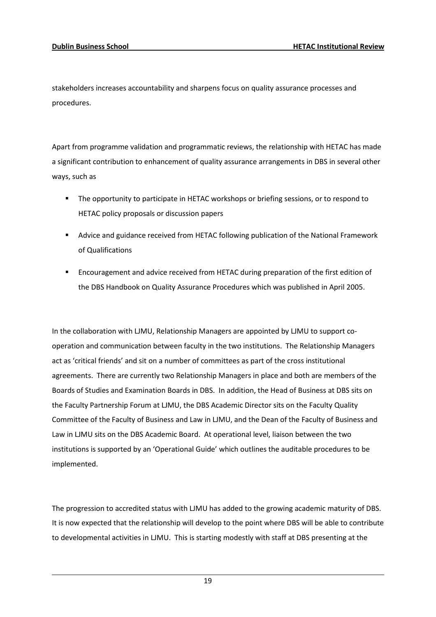stakeholders increases accountability and sharpens focus on quality assurance processes and procedures.

Apart from programme validation and programmatic reviews, the relationship with HETAC has made a significant contribution to enhancement of quality assurance arrangements in DBS in several other ways, such as

- The opportunity to participate in HETAC workshops or briefing sessions, or to respond to HETAC policy proposals or discussion papers
- Advice and guidance received from HETAC following publication of the National Framework of Qualifications
- Encouragement and advice received from HETAC during preparation of the first edition of the DBS Handbook on Quality Assurance Procedures which was published in April 2005.

In the collaboration with LJMU, Relationship Managers are appointed by LJMU to support cooperation and communication between faculty in the two institutions. The Relationship Managers act as 'critical friends' and sit on a number of committees as part of the cross institutional agreements. There are currently two Relationship Managers in place and both are members of the Boards of Studies and Examination Boards in DBS. In addition, the Head of Business at DBS sits on the Faculty Partnership Forum at LJMU, the DBS Academic Director sits on the Faculty Quality Committee of the Faculty of Business and Law in LJMU, and the Dean of the Faculty of Business and Law in LJMU sits on the DBS Academic Board. At operational level, liaison between the two institutions is supported by an 'Operational Guide' which outlines the auditable procedures to be implemented.

The progression to accredited status with LJMU has added to the growing academic maturity of DBS. It is now expected that the relationship will develop to the point where DBS will be able to contribute to developmental activities in LJMU. This is starting modestly with staff at DBS presenting at the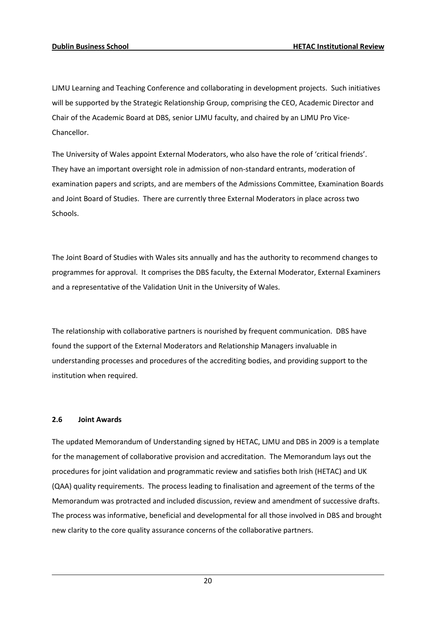LJMU Learning and Teaching Conference and collaborating in development projects. Such initiatives will be supported by the Strategic Relationship Group, comprising the CEO, Academic Director and Chair of the Academic Board at DBS, senior LJMU faculty, and chaired by an LJMU Pro Vice-Chancellor.

The University of Wales appoint External Moderators, who also have the role of 'critical friends'. They have an important oversight role in admission of non-standard entrants, moderation of examination papers and scripts, and are members of the Admissions Committee, Examination Boards and Joint Board of Studies. There are currently three External Moderators in place across two Schools.

The Joint Board of Studies with Wales sits annually and has the authority to recommend changes to programmes for approval. It comprises the DBS faculty, the External Moderator, External Examiners and a representative of the Validation Unit in the University of Wales.

The relationship with collaborative partners is nourished by frequent communication. DBS have found the support of the External Moderators and Relationship Managers invaluable in understanding processes and procedures of the accrediting bodies, and providing support to the institution when required.

## 2.6 Joint Awards

The updated Memorandum of Understanding signed by HETAC, LJMU and DBS in 2009 is a template for the management of collaborative provision and accreditation. The Memorandum lays out the procedures for joint validation and programmatic review and satisfies both Irish (HETAC) and UK (QAA) quality requirements. The process leading to finalisation and agreement of the terms of the Memorandum was protracted and included discussion, review and amendment of successive drafts. The process was informative, beneficial and developmental for all those involved in DBS and brought new clarity to the core quality assurance concerns of the collaborative partners.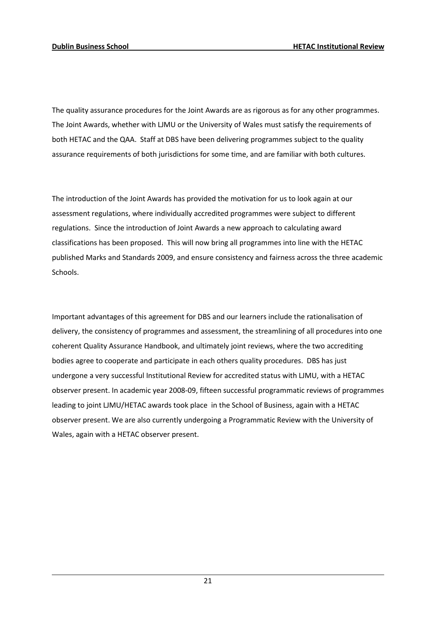The quality assurance procedures for the Joint Awards are as rigorous as for any other programmes. The Joint Awards, whether with LJMU or the University of Wales must satisfy the requirements of both HETAC and the QAA. Staff at DBS have been delivering programmes subject to the quality assurance requirements of both jurisdictions for some time, and are familiar with both cultures.

The introduction of the Joint Awards has provided the motivation for us to look again at our assessment regulations, where individually accredited programmes were subject to different regulations. Since the introduction of Joint Awards a new approach to calculating award classifications has been proposed. This will now bring all programmes into line with the HETAC published Marks and Standards 2009, and ensure consistency and fairness across the three academic Schools.

Important advantages of this agreement for DBS and our learners include the rationalisation of delivery, the consistency of programmes and assessment, the streamlining of all procedures into one coherent Quality Assurance Handbook, and ultimately joint reviews, where the two accrediting bodies agree to cooperate and participate in each others quality procedures. DBS has just undergone a very successful Institutional Review for accredited status with LJMU, with a HETAC observer present. In academic year 2008-09, fifteen successful programmatic reviews of programmes leading to joint LJMU/HETAC awards took place in the School of Business, again with a HETAC observer present. We are also currently undergoing a Programmatic Review with the University of Wales, again with a HETAC observer present.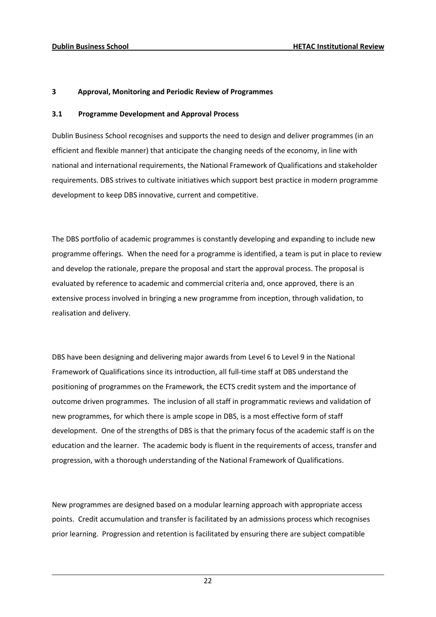# 3 Approval, Monitoring and Periodic Review of Programmes

## 3.1 Programme Development and Approval Process

Dublin Business School recognises and supports the need to design and deliver programmes (in an efficient and flexible manner) that anticipate the changing needs of the economy, in line with national and international requirements, the National Framework of Qualifications and stakeholder requirements. DBS strives to cultivate initiatives which support best practice in modern programme development to keep DBS innovative, current and competitive.

The DBS portfolio of academic programmes is constantly developing and expanding to include new programme offerings. When the need for a programme is identified, a team is put in place to review and develop the rationale, prepare the proposal and start the approval process. The proposal is evaluated by reference to academic and commercial criteria and, once approved, there is an extensive process involved in bringing a new programme from inception, through validation, to realisation and delivery.

DBS have been designing and delivering major awards from Level 6 to Level 9 in the National Framework of Qualifications since its introduction, all full-time staff at DBS understand the positioning of programmes on the Framework, the ECTS credit system and the importance of outcome driven programmes. The inclusion of all staff in programmatic reviews and validation of new programmes, for which there is ample scope in DBS, is a most effective form of staff development. One of the strengths of DBS is that the primary focus of the academic staff is on the education and the learner. The academic body is fluent in the requirements of access, transfer and progression, with a thorough understanding of the National Framework of Qualifications.

New programmes are designed based on a modular learning approach with appropriate access points. Credit accumulation and transfer is facilitated by an admissions process which recognises prior learning. Progression and retention is facilitated by ensuring there are subject compatible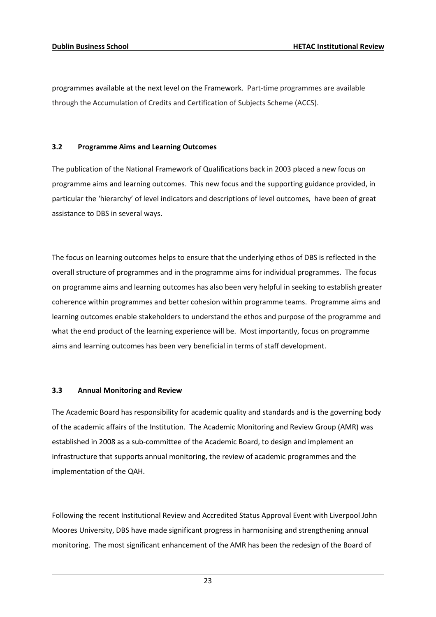programmes available at the next level on the Framework. Part-time programmes are available through the Accumulation of Credits and Certification of Subjects Scheme (ACCS).

# 3.2 Programme Aims and Learning Outcomes

The publication of the National Framework of Qualifications back in 2003 placed a new focus on programme aims and learning outcomes. This new focus and the supporting guidance provided, in particular the 'hierarchy' of level indicators and descriptions of level outcomes, have been of great assistance to DBS in several ways.

The focus on learning outcomes helps to ensure that the underlying ethos of DBS is reflected in the overall structure of programmes and in the programme aims for individual programmes. The focus on programme aims and learning outcomes has also been very helpful in seeking to establish greater coherence within programmes and better cohesion within programme teams. Programme aims and learning outcomes enable stakeholders to understand the ethos and purpose of the programme and what the end product of the learning experience will be. Most importantly, focus on programme aims and learning outcomes has been very beneficial in terms of staff development.

## 3.3 Annual Monitoring and Review

The Academic Board has responsibility for academic quality and standards and is the governing body of the academic affairs of the Institution. The Academic Monitoring and Review Group (AMR) was established in 2008 as a sub-committee of the Academic Board, to design and implement an infrastructure that supports annual monitoring, the review of academic programmes and the implementation of the QAH.

Following the recent Institutional Review and Accredited Status Approval Event with Liverpool John Moores University, DBS have made significant progress in harmonising and strengthening annual monitoring. The most significant enhancement of the AMR has been the redesign of the Board of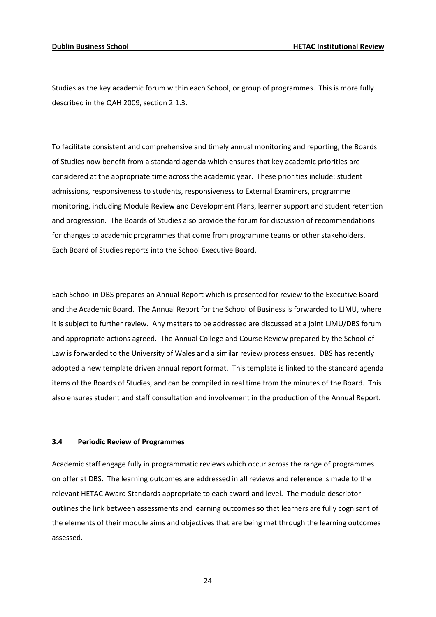Studies as the key academic forum within each School, or group of programmes. This is more fully described in the QAH 2009, section 2.1.3.

To facilitate consistent and comprehensive and timely annual monitoring and reporting, the Boards of Studies now benefit from a standard agenda which ensures that key academic priorities are considered at the appropriate time across the academic year. These priorities include: student admissions, responsiveness to students, responsiveness to External Examiners, programme monitoring, including Module Review and Development Plans, learner support and student retention and progression. The Boards of Studies also provide the forum for discussion of recommendations for changes to academic programmes that come from programme teams or other stakeholders. Each Board of Studies reports into the School Executive Board.

Each School in DBS prepares an Annual Report which is presented for review to the Executive Board and the Academic Board. The Annual Report for the School of Business is forwarded to LJMU, where it is subject to further review. Any matters to be addressed are discussed at a joint LJMU/DBS forum and appropriate actions agreed. The Annual College and Course Review prepared by the School of Law is forwarded to the University of Wales and a similar review process ensues. DBS has recently adopted a new template driven annual report format. This template is linked to the standard agenda items of the Boards of Studies, and can be compiled in real time from the minutes of the Board. This also ensures student and staff consultation and involvement in the production of the Annual Report.

## 3.4 Periodic Review of Programmes

Academic staff engage fully in programmatic reviews which occur across the range of programmes on offer at DBS. The learning outcomes are addressed in all reviews and reference is made to the relevant HETAC Award Standards appropriate to each award and level. The module descriptor outlines the link between assessments and learning outcomes so that learners are fully cognisant of the elements of their module aims and objectives that are being met through the learning outcomes assessed.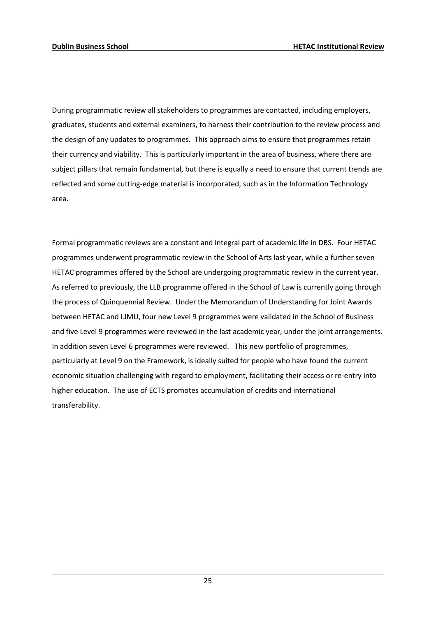During programmatic review all stakeholders to programmes are contacted, including employers, graduates, students and external examiners, to harness their contribution to the review process and the design of any updates to programmes. This approach aims to ensure that programmes retain their currency and viability. This is particularly important in the area of business, where there are subject pillars that remain fundamental, but there is equally a need to ensure that current trends are reflected and some cutting-edge material is incorporated, such as in the Information Technology area.

Formal programmatic reviews are a constant and integral part of academic life in DBS. Four HETAC programmes underwent programmatic review in the School of Arts last year, while a further seven HETAC programmes offered by the School are undergoing programmatic review in the current year. As referred to previously, the LLB programme offered in the School of Law is currently going through the process of Quinquennial Review. Under the Memorandum of Understanding for Joint Awards between HETAC and LJMU, four new Level 9 programmes were validated in the School of Business and five Level 9 programmes were reviewed in the last academic year, under the joint arrangements. In addition seven Level 6 programmes were reviewed. This new portfolio of programmes, particularly at Level 9 on the Framework, is ideally suited for people who have found the current economic situation challenging with regard to employment, facilitating their access or re-entry into higher education. The use of ECTS promotes accumulation of credits and international transferability.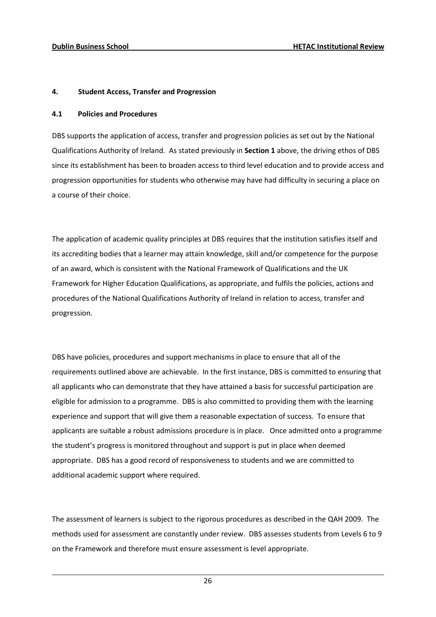## 4. Student Access, Transfer and Progression

## 4.1 Policies and Procedures

DBS supports the application of access, transfer and progression policies as set out by the National Qualifications Authority of Ireland. As stated previously in Section 1 above, the driving ethos of DBS since its establishment has been to broaden access to third level education and to provide access and progression opportunities for students who otherwise may have had difficulty in securing a place on a course of their choice.

The application of academic quality principles at DBS requires that the institution satisfies itself and its accrediting bodies that a learner may attain knowledge, skill and/or competence for the purpose of an award, which is consistent with the National Framework of Qualifications and the UK Framework for Higher Education Qualifications, as appropriate, and fulfils the policies, actions and procedures of the National Qualifications Authority of Ireland in relation to access, transfer and progression.

DBS have policies, procedures and support mechanisms in place to ensure that all of the requirements outlined above are achievable. In the first instance, DBS is committed to ensuring that all applicants who can demonstrate that they have attained a basis for successful participation are eligible for admission to a programme. DBS is also committed to providing them with the learning experience and support that will give them a reasonable expectation of success. To ensure that applicants are suitable a robust admissions procedure is in place. Once admitted onto a programme the student's progress is monitored throughout and support is put in place when deemed appropriate. DBS has a good record of responsiveness to students and we are committed to additional academic support where required.

The assessment of learners is subject to the rigorous procedures as described in the QAH 2009. The methods used for assessment are constantly under review. DBS assesses students from Levels 6 to 9 on the Framework and therefore must ensure assessment is level appropriate.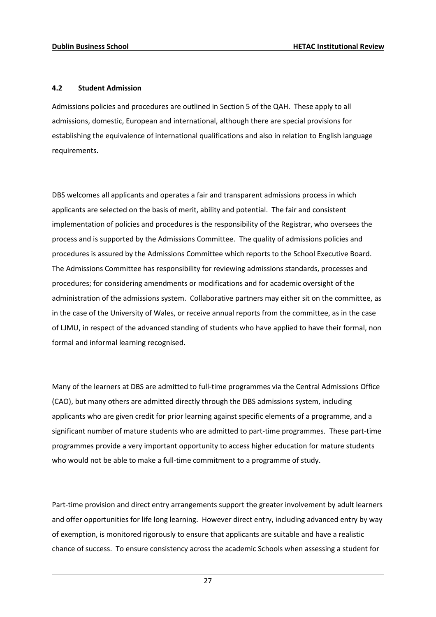# 4.2 Student Admission

Admissions policies and procedures are outlined in Section 5 of the QAH. These apply to all admissions, domestic, European and international, although there are special provisions for establishing the equivalence of international qualifications and also in relation to English language requirements.

DBS welcomes all applicants and operates a fair and transparent admissions process in which applicants are selected on the basis of merit, ability and potential. The fair and consistent implementation of policies and procedures is the responsibility of the Registrar, who oversees the process and is supported by the Admissions Committee. The quality of admissions policies and procedures is assured by the Admissions Committee which reports to the School Executive Board. The Admissions Committee has responsibility for reviewing admissions standards, processes and procedures; for considering amendments or modifications and for academic oversight of the administration of the admissions system. Collaborative partners may either sit on the committee, as in the case of the University of Wales, or receive annual reports from the committee, as in the case of LJMU, in respect of the advanced standing of students who have applied to have their formal, non formal and informal learning recognised.

Many of the learners at DBS are admitted to full-time programmes via the Central Admissions Office (CAO), but many others are admitted directly through the DBS admissions system, including applicants who are given credit for prior learning against specific elements of a programme, and a significant number of mature students who are admitted to part-time programmes. These part-time programmes provide a very important opportunity to access higher education for mature students who would not be able to make a full-time commitment to a programme of study.

Part-time provision and direct entry arrangements support the greater involvement by adult learners and offer opportunities for life long learning. However direct entry, including advanced entry by way of exemption, is monitored rigorously to ensure that applicants are suitable and have a realistic chance of success. To ensure consistency across the academic Schools when assessing a student for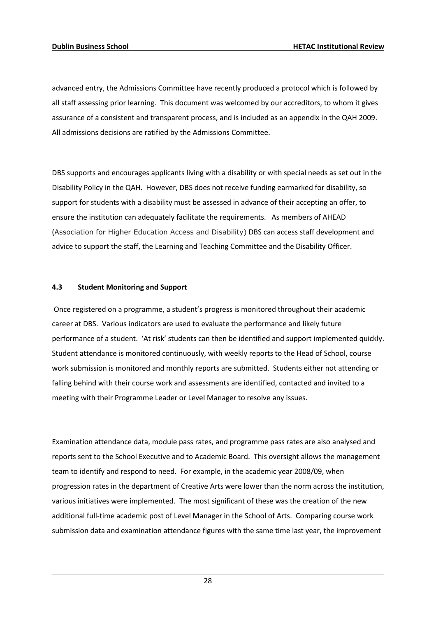advanced entry, the Admissions Committee have recently produced a protocol which is followed by all staff assessing prior learning. This document was welcomed by our accreditors, to whom it gives assurance of a consistent and transparent process, and is included as an appendix in the QAH 2009. All admissions decisions are ratified by the Admissions Committee.

DBS supports and encourages applicants living with a disability or with special needs as set out in the Disability Policy in the QAH. However, DBS does not receive funding earmarked for disability, so support for students with a disability must be assessed in advance of their accepting an offer, to ensure the institution can adequately facilitate the requirements. As members of AHEAD (Association for Higher Education Access and Disability) DBS can access staff development and advice to support the staff, the Learning and Teaching Committee and the Disability Officer.

## 4.3 Student Monitoring and Support

 Once registered on a programme, a student's progress is monitored throughout their academic career at DBS. Various indicators are used to evaluate the performance and likely future performance of a student. 'At risk' students can then be identified and support implemented quickly. Student attendance is monitored continuously, with weekly reports to the Head of School, course work submission is monitored and monthly reports are submitted. Students either not attending or falling behind with their course work and assessments are identified, contacted and invited to a meeting with their Programme Leader or Level Manager to resolve any issues.

Examination attendance data, module pass rates, and programme pass rates are also analysed and reports sent to the School Executive and to Academic Board. This oversight allows the management team to identify and respond to need. For example, in the academic year 2008/09, when progression rates in the department of Creative Arts were lower than the norm across the institution, various initiatives were implemented. The most significant of these was the creation of the new additional full-time academic post of Level Manager in the School of Arts. Comparing course work submission data and examination attendance figures with the same time last year, the improvement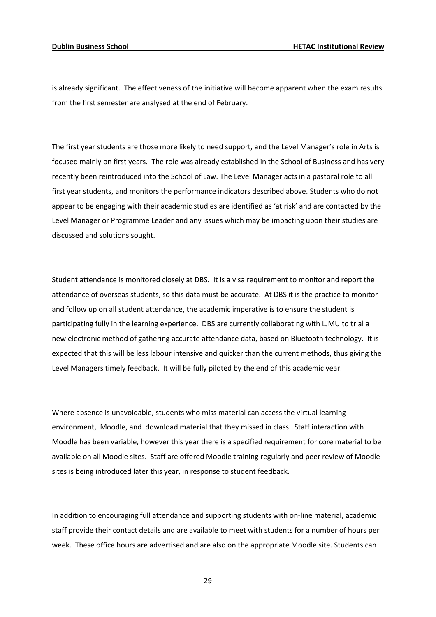is already significant. The effectiveness of the initiative will become apparent when the exam results from the first semester are analysed at the end of February.

The first year students are those more likely to need support, and the Level Manager's role in Arts is focused mainly on first years. The role was already established in the School of Business and has very recently been reintroduced into the School of Law. The Level Manager acts in a pastoral role to all first year students, and monitors the performance indicators described above. Students who do not appear to be engaging with their academic studies are identified as 'at risk' and are contacted by the Level Manager or Programme Leader and any issues which may be impacting upon their studies are discussed and solutions sought.

Student attendance is monitored closely at DBS. It is a visa requirement to monitor and report the attendance of overseas students, so this data must be accurate. At DBS it is the practice to monitor and follow up on all student attendance, the academic imperative is to ensure the student is participating fully in the learning experience. DBS are currently collaborating with LJMU to trial a new electronic method of gathering accurate attendance data, based on Bluetooth technology. It is expected that this will be less labour intensive and quicker than the current methods, thus giving the Level Managers timely feedback. It will be fully piloted by the end of this academic year.

Where absence is unavoidable, students who miss material can access the virtual learning environment, Moodle, and download material that they missed in class. Staff interaction with Moodle has been variable, however this year there is a specified requirement for core material to be available on all Moodle sites. Staff are offered Moodle training regularly and peer review of Moodle sites is being introduced later this year, in response to student feedback.

In addition to encouraging full attendance and supporting students with on-line material, academic staff provide their contact details and are available to meet with students for a number of hours per week. These office hours are advertised and are also on the appropriate Moodle site. Students can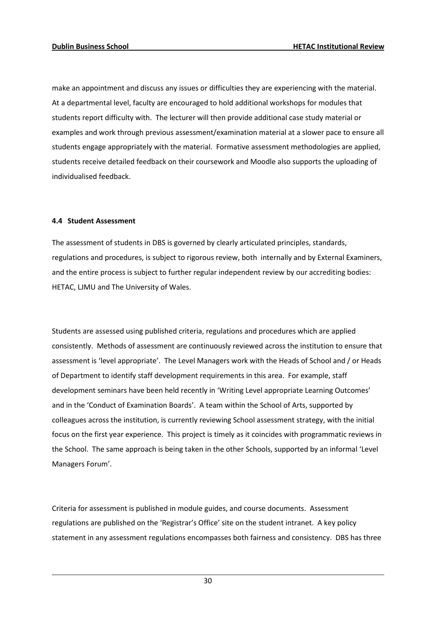make an appointment and discuss any issues or difficulties they are experiencing with the material. At a departmental level, faculty are encouraged to hold additional workshops for modules that students report difficulty with. The lecturer will then provide additional case study material or examples and work through previous assessment/examination material at a slower pace to ensure all students engage appropriately with the material. Formative assessment methodologies are applied, students receive detailed feedback on their coursework and Moodle also supports the uploading of individualised feedback.

# 4.4 Student Assessment

The assessment of students in DBS is governed by clearly articulated principles, standards, regulations and procedures, is subject to rigorous review, both internally and by External Examiners, and the entire process is subject to further regular independent review by our accrediting bodies: HETAC, LJMU and The University of Wales.

Students are assessed using published criteria, regulations and procedures which are applied consistently. Methods of assessment are continuously reviewed across the institution to ensure that assessment is 'level appropriate'. The Level Managers work with the Heads of School and / or Heads of Department to identify staff development requirements in this area. For example, staff development seminars have been held recently in 'Writing Level appropriate Learning Outcomes' and in the 'Conduct of Examination Boards'. A team within the School of Arts, supported by colleagues across the institution, is currently reviewing School assessment strategy, with the initial focus on the first year experience. This project is timely as it coincides with programmatic reviews in the School. The same approach is being taken in the other Schools, supported by an informal 'Level Managers Forum'.

Criteria for assessment is published in module guides, and course documents. Assessment regulations are published on the 'Registrar's Office' site on the student intranet. A key policy statement in any assessment regulations encompasses both fairness and consistency. DBS has three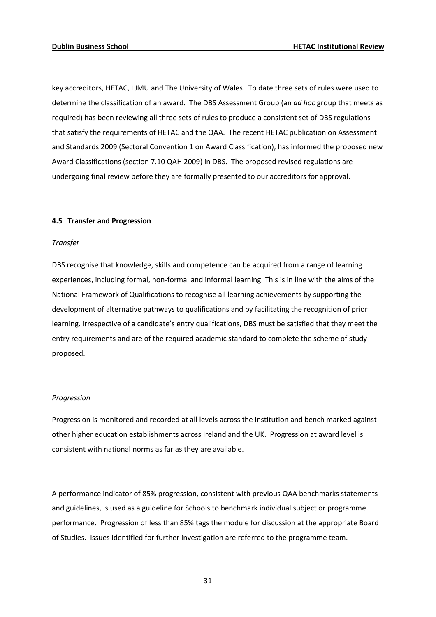key accreditors, HETAC, LJMU and The University of Wales. To date three sets of rules were used to determine the classification of an award. The DBS Assessment Group (an *ad hoc group that meets as* required) has been reviewing all three sets of rules to produce a consistent set of DBS regulations that satisfy the requirements of HETAC and the QAA. The recent HETAC publication on Assessment and Standards 2009 (Sectoral Convention 1 on Award Classification), has informed the proposed new Award Classifications (section 7.10 QAH 2009) in DBS. The proposed revised regulations are undergoing final review before they are formally presented to our accreditors for approval.

# 4.5 Transfer and Progression

# **Transfer**

DBS recognise that knowledge, skills and competence can be acquired from a range of learning experiences, including formal, non-formal and informal learning. This is in line with the aims of the National Framework of Qualifications to recognise all learning achievements by supporting the development of alternative pathways to qualifications and by facilitating the recognition of prior learning. Irrespective of a candidate's entry qualifications, DBS must be satisfied that they meet the entry requirements and are of the required academic standard to complete the scheme of study proposed.

## Progression

Progression is monitored and recorded at all levels across the institution and bench marked against other higher education establishments across Ireland and the UK. Progression at award level is consistent with national norms as far as they are available.

A performance indicator of 85% progression, consistent with previous QAA benchmarks statements and guidelines, is used as a guideline for Schools to benchmark individual subject or programme performance. Progression of less than 85% tags the module for discussion at the appropriate Board of Studies. Issues identified for further investigation are referred to the programme team.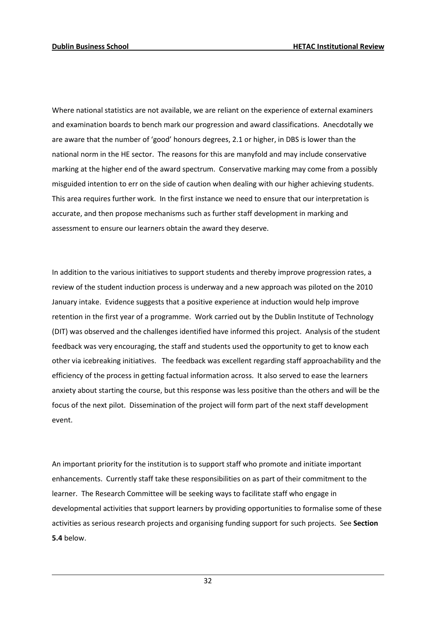Where national statistics are not available, we are reliant on the experience of external examiners and examination boards to bench mark our progression and award classifications. Anecdotally we are aware that the number of 'good' honours degrees, 2.1 or higher, in DBS is lower than the national norm in the HE sector. The reasons for this are manyfold and may include conservative marking at the higher end of the award spectrum. Conservative marking may come from a possibly misguided intention to err on the side of caution when dealing with our higher achieving students. This area requires further work. In the first instance we need to ensure that our interpretation is accurate, and then propose mechanisms such as further staff development in marking and assessment to ensure our learners obtain the award they deserve.

In addition to the various initiatives to support students and thereby improve progression rates, a review of the student induction process is underway and a new approach was piloted on the 2010 January intake. Evidence suggests that a positive experience at induction would help improve retention in the first year of a programme. Work carried out by the Dublin Institute of Technology (DIT) was observed and the challenges identified have informed this project. Analysis of the student feedback was very encouraging, the staff and students used the opportunity to get to know each other via icebreaking initiatives. The feedback was excellent regarding staff approachability and the efficiency of the process in getting factual information across. It also served to ease the learners anxiety about starting the course, but this response was less positive than the others and will be the focus of the next pilot. Dissemination of the project will form part of the next staff development event.

An important priority for the institution is to support staff who promote and initiate important enhancements. Currently staff take these responsibilities on as part of their commitment to the learner. The Research Committee will be seeking ways to facilitate staff who engage in developmental activities that support learners by providing opportunities to formalise some of these activities as serious research projects and organising funding support for such projects. See Section 5.4 below.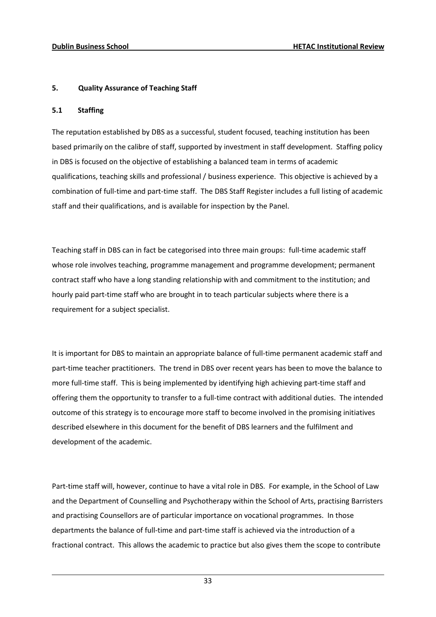## 5. Quality Assurance of Teaching Staff

## 5.1 Staffing

The reputation established by DBS as a successful, student focused, teaching institution has been based primarily on the calibre of staff, supported by investment in staff development. Staffing policy in DBS is focused on the objective of establishing a balanced team in terms of academic qualifications, teaching skills and professional / business experience. This objective is achieved by a combination of full-time and part-time staff. The DBS Staff Register includes a full listing of academic staff and their qualifications, and is available for inspection by the Panel.

Teaching staff in DBS can in fact be categorised into three main groups: full-time academic staff whose role involves teaching, programme management and programme development; permanent contract staff who have a long standing relationship with and commitment to the institution; and hourly paid part-time staff who are brought in to teach particular subjects where there is a requirement for a subject specialist.

It is important for DBS to maintain an appropriate balance of full-time permanent academic staff and part-time teacher practitioners. The trend in DBS over recent years has been to move the balance to more full-time staff. This is being implemented by identifying high achieving part-time staff and offering them the opportunity to transfer to a full-time contract with additional duties. The intended outcome of this strategy is to encourage more staff to become involved in the promising initiatives described elsewhere in this document for the benefit of DBS learners and the fulfilment and development of the academic.

Part-time staff will, however, continue to have a vital role in DBS. For example, in the School of Law and the Department of Counselling and Psychotherapy within the School of Arts, practising Barristers and practising Counsellors are of particular importance on vocational programmes. In those departments the balance of full-time and part-time staff is achieved via the introduction of a fractional contract. This allows the academic to practice but also gives them the scope to contribute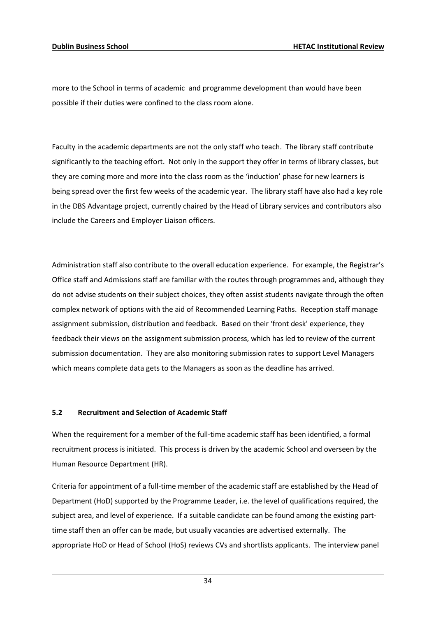more to the School in terms of academic and programme development than would have been possible if their duties were confined to the class room alone.

Faculty in the academic departments are not the only staff who teach. The library staff contribute significantly to the teaching effort. Not only in the support they offer in terms of library classes, but they are coming more and more into the class room as the 'induction' phase for new learners is being spread over the first few weeks of the academic year. The library staff have also had a key role in the DBS Advantage project, currently chaired by the Head of Library services and contributors also include the Careers and Employer Liaison officers.

Administration staff also contribute to the overall education experience. For example, the Registrar's Office staff and Admissions staff are familiar with the routes through programmes and, although they do not advise students on their subject choices, they often assist students navigate through the often complex network of options with the aid of Recommended Learning Paths. Reception staff manage assignment submission, distribution and feedback. Based on their 'front desk' experience, they feedback their views on the assignment submission process, which has led to review of the current submission documentation. They are also monitoring submission rates to support Level Managers which means complete data gets to the Managers as soon as the deadline has arrived.

## 5.2 Recruitment and Selection of Academic Staff

When the requirement for a member of the full-time academic staff has been identified, a formal recruitment process is initiated. This process is driven by the academic School and overseen by the Human Resource Department (HR).

Criteria for appointment of a full-time member of the academic staff are established by the Head of Department (HoD) supported by the Programme Leader, i.e. the level of qualifications required, the subject area, and level of experience. If a suitable candidate can be found among the existing parttime staff then an offer can be made, but usually vacancies are advertised externally. The appropriate HoD or Head of School (HoS) reviews CVs and shortlists applicants. The interview panel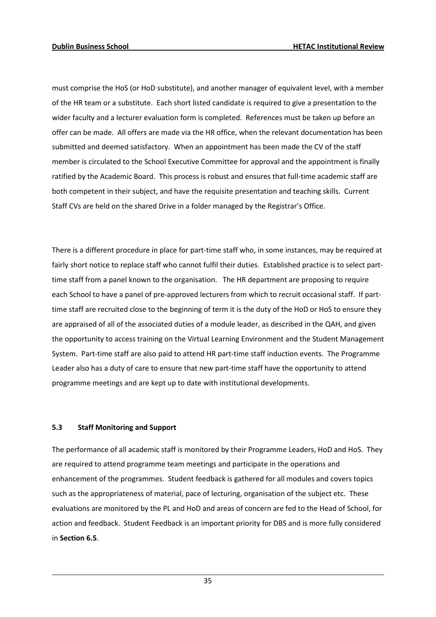must comprise the HoS (or HoD substitute), and another manager of equivalent level, with a member of the HR team or a substitute. Each short listed candidate is required to give a presentation to the wider faculty and a lecturer evaluation form is completed. References must be taken up before an offer can be made. All offers are made via the HR office, when the relevant documentation has been submitted and deemed satisfactory. When an appointment has been made the CV of the staff member is circulated to the School Executive Committee for approval and the appointment is finally ratified by the Academic Board. This process is robust and ensures that full-time academic staff are both competent in their subject, and have the requisite presentation and teaching skills. Current Staff CVs are held on the shared Drive in a folder managed by the Registrar's Office.

There is a different procedure in place for part-time staff who, in some instances, may be required at fairly short notice to replace staff who cannot fulfil their duties. Established practice is to select parttime staff from a panel known to the organisation. The HR department are proposing to require each School to have a panel of pre-approved lecturers from which to recruit occasional staff. If parttime staff are recruited close to the beginning of term it is the duty of the HoD or HoS to ensure they are appraised of all of the associated duties of a module leader, as described in the QAH, and given the opportunity to access training on the Virtual Learning Environment and the Student Management System. Part-time staff are also paid to attend HR part-time staff induction events. The Programme Leader also has a duty of care to ensure that new part-time staff have the opportunity to attend programme meetings and are kept up to date with institutional developments.

# 5.3 Staff Monitoring and Support

The performance of all academic staff is monitored by their Programme Leaders, HoD and HoS. They are required to attend programme team meetings and participate in the operations and enhancement of the programmes. Student feedback is gathered for all modules and covers topics such as the appropriateness of material, pace of lecturing, organisation of the subject etc. These evaluations are monitored by the PL and HoD and areas of concern are fed to the Head of School, for action and feedback. Student Feedback is an important priority for DBS and is more fully considered in Section 6.5.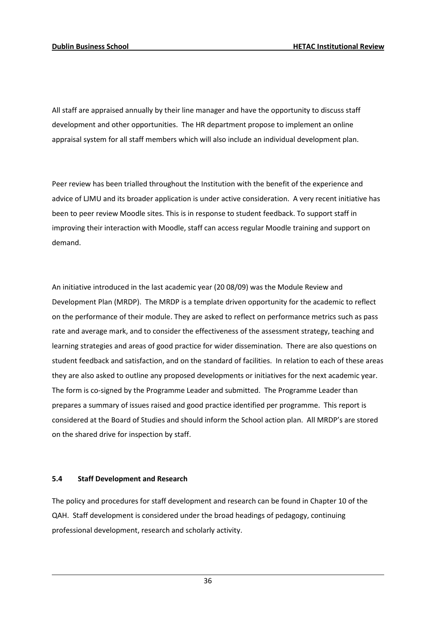All staff are appraised annually by their line manager and have the opportunity to discuss staff development and other opportunities. The HR department propose to implement an online appraisal system for all staff members which will also include an individual development plan.

Peer review has been trialled throughout the Institution with the benefit of the experience and advice of LJMU and its broader application is under active consideration. A very recent initiative has been to peer review Moodle sites. This is in response to student feedback. To support staff in improving their interaction with Moodle, staff can access regular Moodle training and support on demand.

An initiative introduced in the last academic year (20 08/09) was the Module Review and Development Plan (MRDP). The MRDP is a template driven opportunity for the academic to reflect on the performance of their module. They are asked to reflect on performance metrics such as pass rate and average mark, and to consider the effectiveness of the assessment strategy, teaching and learning strategies and areas of good practice for wider dissemination. There are also questions on student feedback and satisfaction, and on the standard of facilities. In relation to each of these areas they are also asked to outline any proposed developments or initiatives for the next academic year. The form is co-signed by the Programme Leader and submitted. The Programme Leader than prepares a summary of issues raised and good practice identified per programme. This report is considered at the Board of Studies and should inform the School action plan. All MRDP's are stored on the shared drive for inspection by staff.

## 5.4 Staff Development and Research

The policy and procedures for staff development and research can be found in Chapter 10 of the QAH. Staff development is considered under the broad headings of pedagogy, continuing professional development, research and scholarly activity.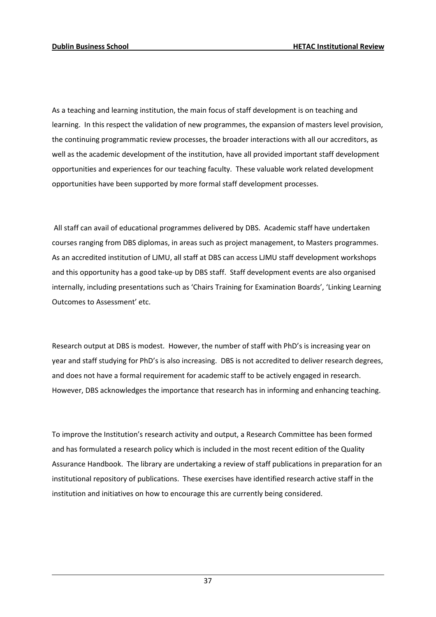As a teaching and learning institution, the main focus of staff development is on teaching and learning. In this respect the validation of new programmes, the expansion of masters level provision, the continuing programmatic review processes, the broader interactions with all our accreditors, as well as the academic development of the institution, have all provided important staff development opportunities and experiences for our teaching faculty. These valuable work related development opportunities have been supported by more formal staff development processes.

 All staff can avail of educational programmes delivered by DBS. Academic staff have undertaken courses ranging from DBS diplomas, in areas such as project management, to Masters programmes. As an accredited institution of LJMU, all staff at DBS can access LJMU staff development workshops and this opportunity has a good take-up by DBS staff. Staff development events are also organised internally, including presentations such as 'Chairs Training for Examination Boards', 'Linking Learning Outcomes to Assessment' etc.

Research output at DBS is modest. However, the number of staff with PhD's is increasing year on year and staff studying for PhD's is also increasing. DBS is not accredited to deliver research degrees, and does not have a formal requirement for academic staff to be actively engaged in research. However, DBS acknowledges the importance that research has in informing and enhancing teaching.

To improve the Institution's research activity and output, a Research Committee has been formed and has formulated a research policy which is included in the most recent edition of the Quality Assurance Handbook. The library are undertaking a review of staff publications in preparation for an institutional repository of publications. These exercises have identified research active staff in the institution and initiatives on how to encourage this are currently being considered.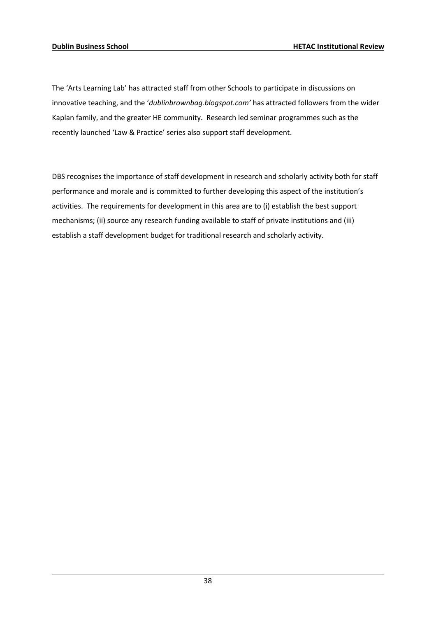The 'Arts Learning Lab' has attracted staff from other Schools to participate in discussions on innovative teaching, and the 'dublinbrownbag.blogspot.com' has attracted followers from the wider Kaplan family, and the greater HE community. Research led seminar programmes such as the recently launched 'Law & Practice' series also support staff development.

DBS recognises the importance of staff development in research and scholarly activity both for staff performance and morale and is committed to further developing this aspect of the institution's activities. The requirements for development in this area are to (i) establish the best support mechanisms; (ii) source any research funding available to staff of private institutions and (iii) establish a staff development budget for traditional research and scholarly activity.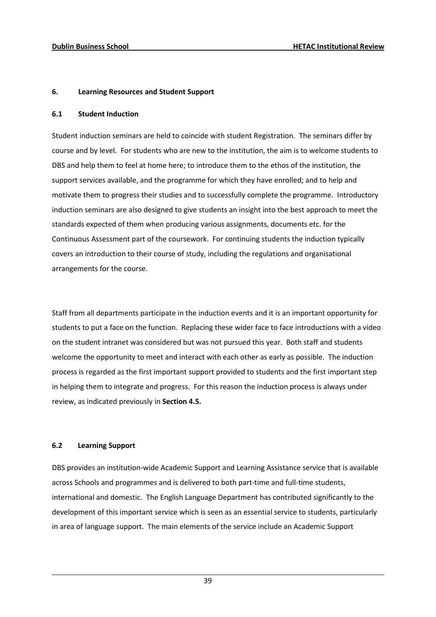## 6. Learning Resources and Student Support

## 6.1 Student Induction

Student induction seminars are held to coincide with student Registration. The seminars differ by course and by level. For students who are new to the institution, the aim is to welcome students to DBS and help them to feel at home here; to introduce them to the ethos of the institution, the support services available, and the programme for which they have enrolled; and to help and motivate them to progress their studies and to successfully complete the programme. Introductory induction seminars are also designed to give students an insight into the best approach to meet the standards expected of them when producing various assignments, documents etc. for the Continuous Assessment part of the coursework. For continuing students the induction typically covers an introduction to their course of study, including the regulations and organisational arrangements for the course.

Staff from all departments participate in the induction events and it is an important opportunity for students to put a face on the function. Replacing these wider face to face introductions with a video on the student intranet was considered but was not pursued this year. Both staff and students welcome the opportunity to meet and interact with each other as early as possible. The induction process is regarded as the first important support provided to students and the first important step in helping them to integrate and progress. For this reason the induction process is always under review, as indicated previously in Section 4.5.

# 6.2 Learning Support

DBS provides an institution-wide Academic Support and Learning Assistance service that is available across Schools and programmes and is delivered to both part-time and full-time students, international and domestic. The English Language Department has contributed significantly to the development of this important service which is seen as an essential service to students, particularly in area of language support. The main elements of the service include an Academic Support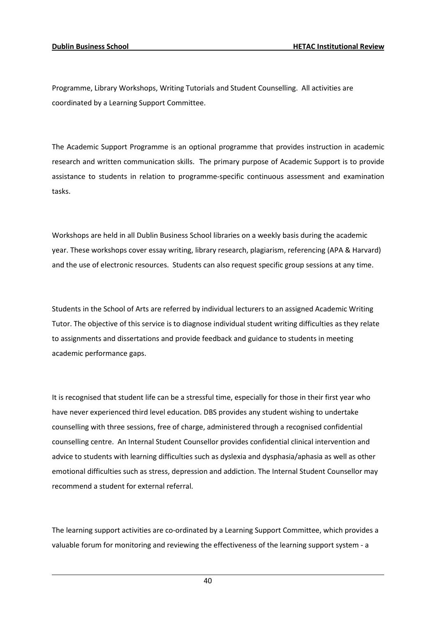Programme, Library Workshops, Writing Tutorials and Student Counselling. All activities are coordinated by a Learning Support Committee.

The Academic Support Programme is an optional programme that provides instruction in academic research and written communication skills. The primary purpose of Academic Support is to provide assistance to students in relation to programme-specific continuous assessment and examination tasks.

Workshops are held in all Dublin Business School libraries on a weekly basis during the academic year. These workshops cover essay writing, library research, plagiarism, referencing (APA & Harvard) and the use of electronic resources. Students can also request specific group sessions at any time.

Students in the School of Arts are referred by individual lecturers to an assigned Academic Writing Tutor. The objective of this service is to diagnose individual student writing difficulties as they relate to assignments and dissertations and provide feedback and guidance to students in meeting academic performance gaps.

It is recognised that student life can be a stressful time, especially for those in their first year who have never experienced third level education. DBS provides any student wishing to undertake counselling with three sessions, free of charge, administered through a recognised confidential counselling centre. An Internal Student Counsellor provides confidential clinical intervention and advice to students with learning difficulties such as dyslexia and dysphasia/aphasia as well as other emotional difficulties such as stress, depression and addiction. The Internal Student Counsellor may recommend a student for external referral.

The learning support activities are co-ordinated by a Learning Support Committee, which provides a valuable forum for monitoring and reviewing the effectiveness of the learning support system - a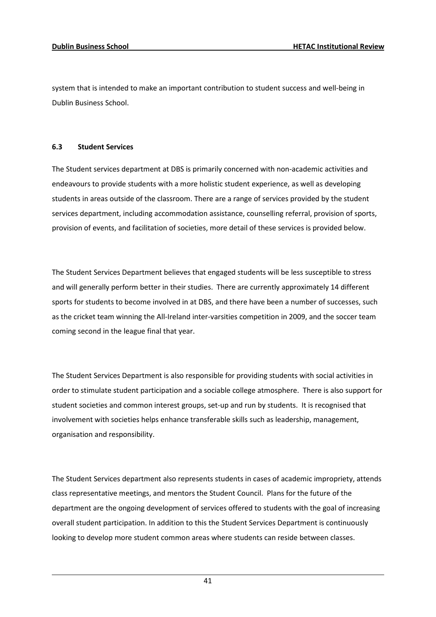system that is intended to make an important contribution to student success and well-being in Dublin Business School.

## 6.3 Student Services

The Student services department at DBS is primarily concerned with non-academic activities and endeavours to provide students with a more holistic student experience, as well as developing students in areas outside of the classroom. There are a range of services provided by the student services department, including accommodation assistance, counselling referral, provision of sports, provision of events, and facilitation of societies, more detail of these services is provided below.

The Student Services Department believes that engaged students will be less susceptible to stress and will generally perform better in their studies. There are currently approximately 14 different sports for students to become involved in at DBS, and there have been a number of successes, such as the cricket team winning the All-Ireland inter-varsities competition in 2009, and the soccer team coming second in the league final that year.

The Student Services Department is also responsible for providing students with social activities in order to stimulate student participation and a sociable college atmosphere. There is also support for student societies and common interest groups, set-up and run by students. It is recognised that involvement with societies helps enhance transferable skills such as leadership, management, organisation and responsibility.

The Student Services department also represents students in cases of academic impropriety, attends class representative meetings, and mentors the Student Council. Plans for the future of the department are the ongoing development of services offered to students with the goal of increasing overall student participation. In addition to this the Student Services Department is continuously looking to develop more student common areas where students can reside between classes.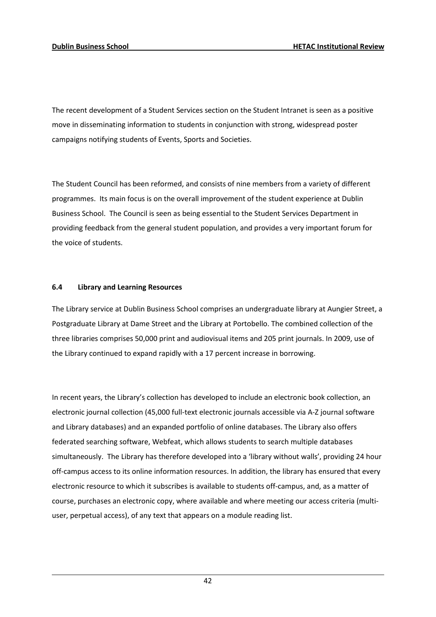The recent development of a Student Services section on the Student Intranet is seen as a positive move in disseminating information to students in conjunction with strong, widespread poster campaigns notifying students of Events, Sports and Societies.

The Student Council has been reformed, and consists of nine members from a variety of different programmes. Its main focus is on the overall improvement of the student experience at Dublin Business School. The Council is seen as being essential to the Student Services Department in providing feedback from the general student population, and provides a very important forum for the voice of students.

# 6.4 Library and Learning Resources

The Library service at Dublin Business School comprises an undergraduate library at Aungier Street, a Postgraduate Library at Dame Street and the Library at Portobello. The combined collection of the three libraries comprises 50,000 print and audiovisual items and 205 print journals. In 2009, use of the Library continued to expand rapidly with a 17 percent increase in borrowing.

In recent years, the Library's collection has developed to include an electronic book collection, an electronic journal collection (45,000 full-text electronic journals accessible via A-Z journal software and Library databases) and an expanded portfolio of online databases. The Library also offers federated searching software, Webfeat, which allows students to search multiple databases simultaneously. The Library has therefore developed into a 'library without walls', providing 24 hour off-campus access to its online information resources. In addition, the library has ensured that every electronic resource to which it subscribes is available to students off-campus, and, as a matter of course, purchases an electronic copy, where available and where meeting our access criteria (multiuser, perpetual access), of any text that appears on a module reading list.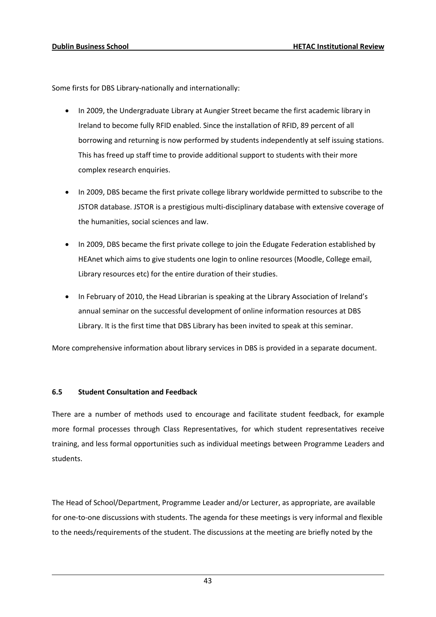Some firsts for DBS Library-nationally and internationally:

- In 2009, the Undergraduate Library at Aungier Street became the first academic library in Ireland to become fully RFID enabled. Since the installation of RFID, 89 percent of all borrowing and returning is now performed by students independently at self issuing stations. This has freed up staff time to provide additional support to students with their more complex research enquiries.
- In 2009, DBS became the first private college library worldwide permitted to subscribe to the JSTOR database. JSTOR is a prestigious multi-disciplinary database with extensive coverage of the humanities, social sciences and law.
- In 2009, DBS became the first private college to join the Edugate Federation established by HEAnet which aims to give students one login to online resources (Moodle, College email, Library resources etc) for the entire duration of their studies.
- In February of 2010, the Head Librarian is speaking at the Library Association of Ireland's annual seminar on the successful development of online information resources at DBS Library. It is the first time that DBS Library has been invited to speak at this seminar.

More comprehensive information about library services in DBS is provided in a separate document.

## 6.5 Student Consultation and Feedback

There are a number of methods used to encourage and facilitate student feedback, for example more formal processes through Class Representatives, for which student representatives receive training, and less formal opportunities such as individual meetings between Programme Leaders and students.

The Head of School/Department, Programme Leader and/or Lecturer, as appropriate, are available for one-to-one discussions with students. The agenda for these meetings is very informal and flexible to the needs/requirements of the student. The discussions at the meeting are briefly noted by the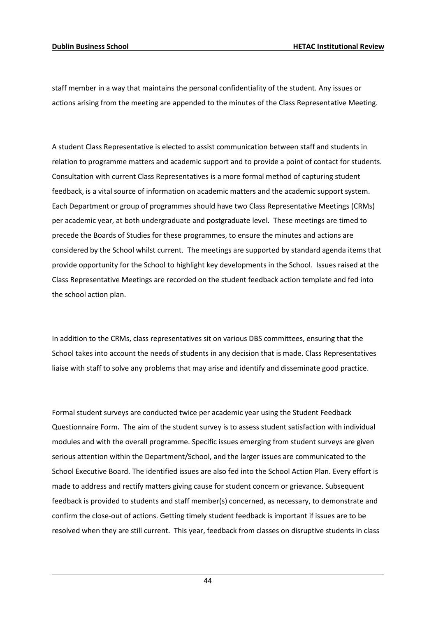staff member in a way that maintains the personal confidentiality of the student. Any issues or actions arising from the meeting are appended to the minutes of the Class Representative Meeting.

A student Class Representative is elected to assist communication between staff and students in relation to programme matters and academic support and to provide a point of contact for students. Consultation with current Class Representatives is a more formal method of capturing student feedback, is a vital source of information on academic matters and the academic support system. Each Department or group of programmes should have two Class Representative Meetings (CRMs) per academic year, at both undergraduate and postgraduate level. These meetings are timed to precede the Boards of Studies for these programmes, to ensure the minutes and actions are considered by the School whilst current. The meetings are supported by standard agenda items that provide opportunity for the School to highlight key developments in the School. Issues raised at the Class Representative Meetings are recorded on the student feedback action template and fed into the school action plan.

In addition to the CRMs, class representatives sit on various DBS committees, ensuring that the School takes into account the needs of students in any decision that is made. Class Representatives liaise with staff to solve any problems that may arise and identify and disseminate good practice.

Formal student surveys are conducted twice per academic year using the Student Feedback Questionnaire Form. The aim of the student survey is to assess student satisfaction with individual modules and with the overall programme. Specific issues emerging from student surveys are given serious attention within the Department/School, and the larger issues are communicated to the School Executive Board. The identified issues are also fed into the School Action Plan. Every effort is made to address and rectify matters giving cause for student concern or grievance. Subsequent feedback is provided to students and staff member(s) concerned, as necessary, to demonstrate and confirm the close-out of actions. Getting timely student feedback is important if issues are to be resolved when they are still current. This year, feedback from classes on disruptive students in class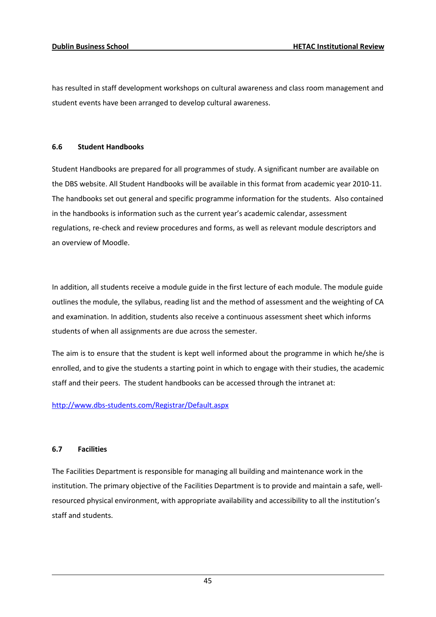has resulted in staff development workshops on cultural awareness and class room management and student events have been arranged to develop cultural awareness.

# 6.6 Student Handbooks

Student Handbooks are prepared for all programmes of study. A significant number are available on the DBS website. All Student Handbooks will be available in this format from academic year 2010-11. The handbooks set out general and specific programme information for the students. Also contained in the handbooks is information such as the current year's academic calendar, assessment regulations, re-check and review procedures and forms, as well as relevant module descriptors and an overview of Moodle.

In addition, all students receive a module guide in the first lecture of each module. The module guide outlines the module, the syllabus, reading list and the method of assessment and the weighting of CA and examination. In addition, students also receive a continuous assessment sheet which informs students of when all assignments are due across the semester.

The aim is to ensure that the student is kept well informed about the programme in which he/she is enrolled, and to give the students a starting point in which to engage with their studies, the academic staff and their peers. The student handbooks can be accessed through the intranet at:

## http://www.dbs-students.com/Registrar/Default.aspx

## 6.7 Facilities

The Facilities Department is responsible for managing all building and maintenance work in the institution. The primary objective of the Facilities Department is to provide and maintain a safe, wellresourced physical environment, with appropriate availability and accessibility to all the institution's staff and students.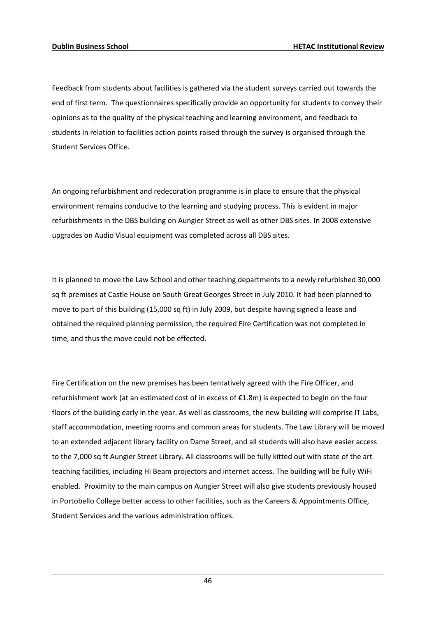Feedback from students about facilities is gathered via the student surveys carried out towards the end of first term. The questionnaires specifically provide an opportunity for students to convey their opinions as to the quality of the physical teaching and learning environment, and feedback to students in relation to facilities action points raised through the survey is organised through the Student Services Office.

An ongoing refurbishment and redecoration programme is in place to ensure that the physical environment remains conducive to the learning and studying process. This is evident in major refurbishments in the DBS building on Aungier Street as well as other DBS sites. In 2008 extensive upgrades on Audio Visual equipment was completed across all DBS sites.

It is planned to move the Law School and other teaching departments to a newly refurbished 30,000 sq ft premises at Castle House on South Great Georges Street in July 2010. It had been planned to move to part of this building (15,000 sq ft) in July 2009, but despite having signed a lease and obtained the required planning permission, the required Fire Certification was not completed in time, and thus the move could not be effected.

Fire Certification on the new premises has been tentatively agreed with the Fire Officer, and refurbishment work (at an estimated cost of in excess of  $\epsilon$ 1.8m) is expected to begin on the four floors of the building early in the year. As well as classrooms, the new building will comprise IT Labs, staff accommodation, meeting rooms and common areas for students. The Law Library will be moved to an extended adjacent library facility on Dame Street, and all students will also have easier access to the 7,000 sq ft Aungier Street Library. All classrooms will be fully kitted out with state of the art teaching facilities, including Hi Beam projectors and internet access. The building will be fully WiFi enabled. Proximity to the main campus on Aungier Street will also give students previously housed in Portobello College better access to other facilities, such as the Careers & Appointments Office, Student Services and the various administration offices.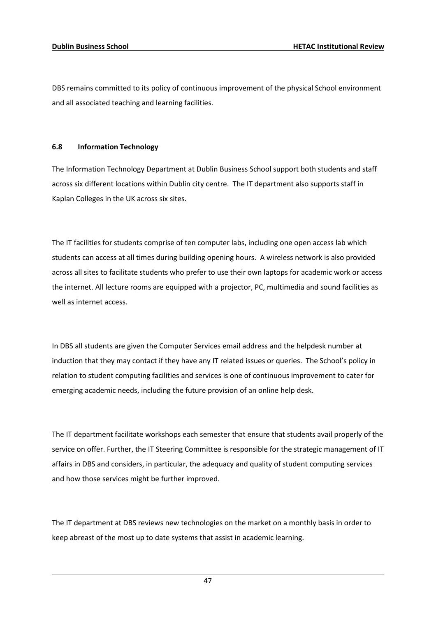DBS remains committed to its policy of continuous improvement of the physical School environment and all associated teaching and learning facilities.

# 6.8 Information Technology

The Information Technology Department at Dublin Business School support both students and staff across six different locations within Dublin city centre. The IT department also supports staff in Kaplan Colleges in the UK across six sites.

The IT facilities for students comprise of ten computer labs, including one open access lab which students can access at all times during building opening hours. A wireless network is also provided across all sites to facilitate students who prefer to use their own laptops for academic work or access the internet. All lecture rooms are equipped with a projector, PC, multimedia and sound facilities as well as internet access.

In DBS all students are given the Computer Services email address and the helpdesk number at induction that they may contact if they have any IT related issues or queries. The School's policy in relation to student computing facilities and services is one of continuous improvement to cater for emerging academic needs, including the future provision of an online help desk.

The IT department facilitate workshops each semester that ensure that students avail properly of the service on offer. Further, the IT Steering Committee is responsible for the strategic management of IT affairs in DBS and considers, in particular, the adequacy and quality of student computing services and how those services might be further improved.

The IT department at DBS reviews new technologies on the market on a monthly basis in order to keep abreast of the most up to date systems that assist in academic learning.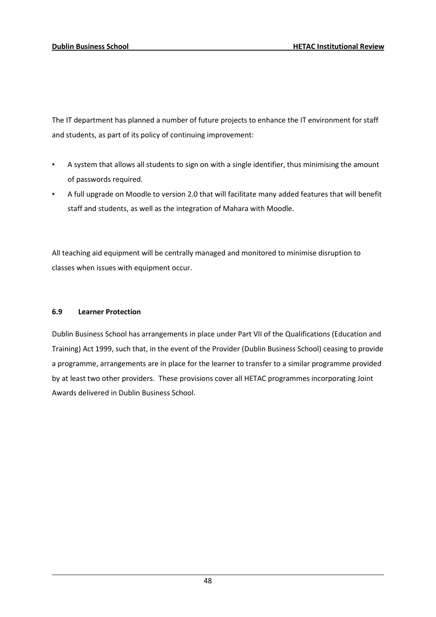The IT department has planned a number of future projects to enhance the IT environment for staff and students, as part of its policy of continuing improvement:

- A system that allows all students to sign on with a single identifier, thus minimising the amount of passwords required.
- A full upgrade on Moodle to version 2.0 that will facilitate many added features that will benefit staff and students, as well as the integration of Mahara with Moodle.

All teaching aid equipment will be centrally managed and monitored to minimise disruption to classes when issues with equipment occur.

# 6.9 Learner Protection

Dublin Business School has arrangements in place under Part VII of the Qualifications (Education and Training) Act 1999, such that, in the event of the Provider (Dublin Business School) ceasing to provide a programme, arrangements are in place for the learner to transfer to a similar programme provided by at least two other providers. These provisions cover all HETAC programmes incorporating Joint Awards delivered in Dublin Business School.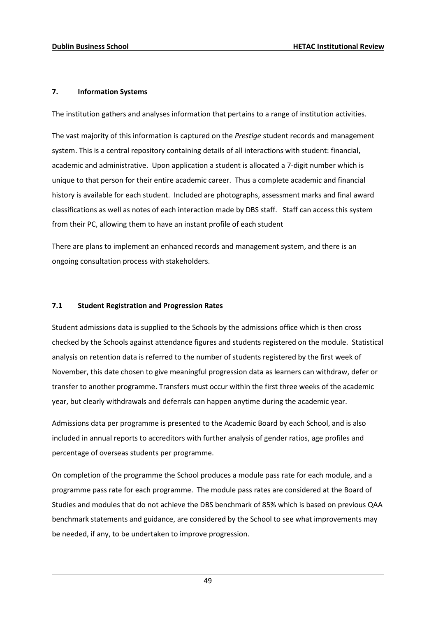# 7. Information Systems

The institution gathers and analyses information that pertains to a range of institution activities.

The vast majority of this information is captured on the Prestige student records and management system. This is a central repository containing details of all interactions with student: financial, academic and administrative. Upon application a student is allocated a 7-digit number which is unique to that person for their entire academic career. Thus a complete academic and financial history is available for each student. Included are photographs, assessment marks and final award classifications as well as notes of each interaction made by DBS staff. Staff can access this system from their PC, allowing them to have an instant profile of each student

There are plans to implement an enhanced records and management system, and there is an ongoing consultation process with stakeholders.

# 7.1 Student Registration and Progression Rates

Student admissions data is supplied to the Schools by the admissions office which is then cross checked by the Schools against attendance figures and students registered on the module. Statistical analysis on retention data is referred to the number of students registered by the first week of November, this date chosen to give meaningful progression data as learners can withdraw, defer or transfer to another programme. Transfers must occur within the first three weeks of the academic year, but clearly withdrawals and deferrals can happen anytime during the academic year.

Admissions data per programme is presented to the Academic Board by each School, and is also included in annual reports to accreditors with further analysis of gender ratios, age profiles and percentage of overseas students per programme.

On completion of the programme the School produces a module pass rate for each module, and a programme pass rate for each programme. The module pass rates are considered at the Board of Studies and modules that do not achieve the DBS benchmark of 85% which is based on previous QAA benchmark statements and guidance, are considered by the School to see what improvements may be needed, if any, to be undertaken to improve progression.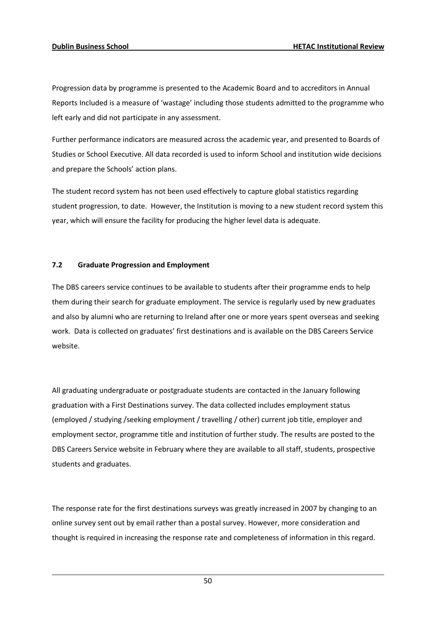Progression data by programme is presented to the Academic Board and to accreditors in Annual Reports Included is a measure of 'wastage' including those students admitted to the programme who left early and did not participate in any assessment.

Further performance indicators are measured across the academic year, and presented to Boards of Studies or School Executive. All data recorded is used to inform School and institution wide decisions and prepare the Schools' action plans.

The student record system has not been used effectively to capture global statistics regarding student progression, to date. However, the Institution is moving to a new student record system this year, which will ensure the facility for producing the higher level data is adequate.

# 7.2 Graduate Progression and Employment

The DBS careers service continues to be available to students after their programme ends to help them during their search for graduate employment. The service is regularly used by new graduates and also by alumni who are returning to Ireland after one or more years spent overseas and seeking work. Data is collected on graduates' first destinations and is available on the DBS Careers Service website.

All graduating undergraduate or postgraduate students are contacted in the January following graduation with a First Destinations survey. The data collected includes employment status (employed / studying /seeking employment / travelling / other) current job title, employer and employment sector, programme title and institution of further study. The results are posted to the DBS Careers Service website in February where they are available to all staff, students, prospective students and graduates.

The response rate for the first destinations surveys was greatly increased in 2007 by changing to an online survey sent out by email rather than a postal survey. However, more consideration and thought is required in increasing the response rate and completeness of information in this regard.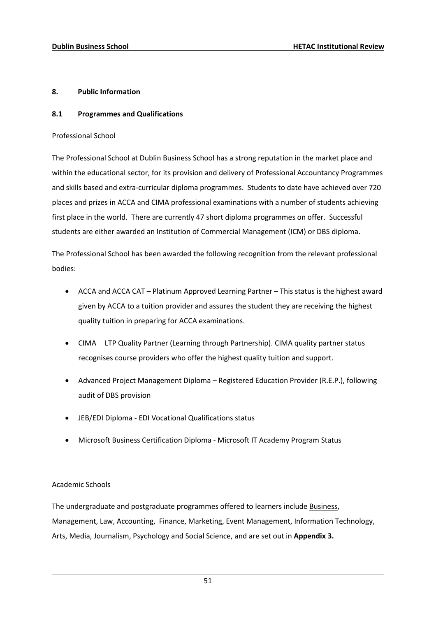# 8. Public Information

# 8.1 Programmes and Qualifications

# Professional School

The Professional School at Dublin Business School has a strong reputation in the market place and within the educational sector, for its provision and delivery of Professional Accountancy Programmes and skills based and extra-curricular diploma programmes. Students to date have achieved over 720 places and prizes in ACCA and CIMA professional examinations with a number of students achieving first place in the world. There are currently 47 short diploma programmes on offer. Successful students are either awarded an Institution of Commercial Management (ICM) or DBS diploma.

The Professional School has been awarded the following recognition from the relevant professional bodies:

- ACCA and ACCA CAT Platinum Approved Learning Partner This status is the highest award given by ACCA to a tuition provider and assures the student they are receiving the highest quality tuition in preparing for ACCA examinations.
- CIMA LTP Quality Partner (Learning through Partnership). CIMA quality partner status recognises course providers who offer the highest quality tuition and support.
- Advanced Project Management Diploma Registered Education Provider (R.E.P.), following audit of DBS provision
- JEB/EDI Diploma EDI Vocational Qualifications status
- Microsoft Business Certification Diploma Microsoft IT Academy Program Status

# Academic Schools

The undergraduate and postgraduate programmes offered to learners include Business, Management, Law, Accounting, Finance, Marketing, Event Management, Information Technology, Arts, Media, Journalism, Psychology and Social Science, and are set out in Appendix 3.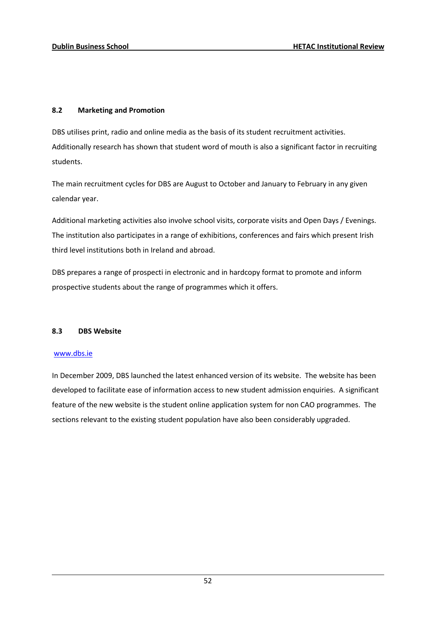# 8.2 Marketing and Promotion

DBS utilises print, radio and online media as the basis of its student recruitment activities. Additionally research has shown that student word of mouth is also a significant factor in recruiting students.

The main recruitment cycles for DBS are August to October and January to February in any given calendar year.

Additional marketing activities also involve school visits, corporate visits and Open Days / Evenings. The institution also participates in a range of exhibitions, conferences and fairs which present Irish third level institutions both in Ireland and abroad.

DBS prepares a range of prospecti in electronic and in hardcopy format to promote and inform prospective students about the range of programmes which it offers.

# 8.3 DBS Website

# www.dbs.ie

In December 2009, DBS launched the latest enhanced version of its website. The website has been developed to facilitate ease of information access to new student admission enquiries. A significant feature of the new website is the student online application system for non CAO programmes. The sections relevant to the existing student population have also been considerably upgraded.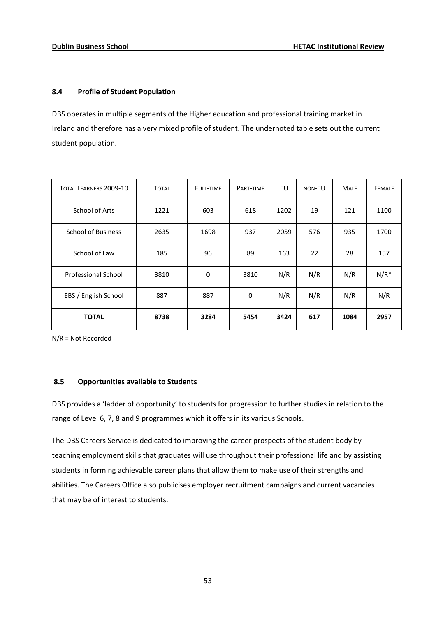# 8.4 Profile of Student Population

DBS operates in multiple segments of the Higher education and professional training market in Ireland and therefore has a very mixed profile of student. The undernoted table sets out the current student population.

| TOTAL LEARNERS 2009-10    | <b>TOTAL</b> | FULL-TIME | PART-TIME | EU   | NON-EU | <b>MALE</b> | <b>FEMALE</b> |
|---------------------------|--------------|-----------|-----------|------|--------|-------------|---------------|
| School of Arts            | 1221         | 603       | 618       | 1202 | 19     | 121         | 1100          |
| <b>School of Business</b> | 2635         | 1698      | 937       | 2059 | 576    | 935         | 1700          |
| School of Law             | 185          | 96        | 89        | 163  | 22     | 28          | 157           |
| Professional School       | 3810         | 0         | 3810      | N/R  | N/R    | N/R         | $N/R^*$       |
| EBS / English School      | 887          | 887       | 0         | N/R  | N/R    | N/R         | N/R           |
| <b>TOTAL</b>              | 8738         | 3284      | 5454      | 3424 | 617    | 1084        | 2957          |

N/R = Not Recorded

# 8.5 Opportunities available to Students

DBS provides a 'ladder of opportunity' to students for progression to further studies in relation to the range of Level 6, 7, 8 and 9 programmes which it offers in its various Schools.

The DBS Careers Service is dedicated to improving the career prospects of the student body by teaching employment skills that graduates will use throughout their professional life and by assisting students in forming achievable career plans that allow them to make use of their strengths and abilities. The Careers Office also publicises employer recruitment campaigns and current vacancies that may be of interest to students.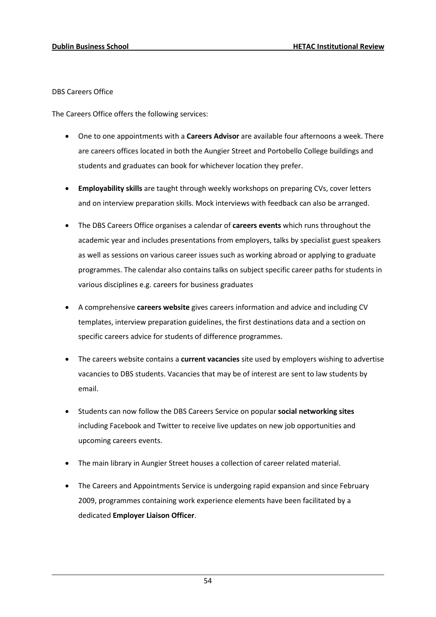DBS Careers Office

The Careers Office offers the following services:

- One to one appointments with a Careers Advisor are available four afternoons a week. There are careers offices located in both the Aungier Street and Portobello College buildings and students and graduates can book for whichever location they prefer.
- Employability skills are taught through weekly workshops on preparing CVs, cover letters and on interview preparation skills. Mock interviews with feedback can also be arranged.
- The DBS Careers Office organises a calendar of careers events which runs throughout the academic year and includes presentations from employers, talks by specialist guest speakers as well as sessions on various career issues such as working abroad or applying to graduate programmes. The calendar also contains talks on subject specific career paths for students in various disciplines e.g. careers for business graduates
- A comprehensive **careers website** gives careers information and advice and including CV templates, interview preparation guidelines, the first destinations data and a section on specific careers advice for students of difference programmes.
- The careers website contains a current vacancies site used by employers wishing to advertise vacancies to DBS students. Vacancies that may be of interest are sent to law students by email.
- Students can now follow the DBS Careers Service on popular social networking sites including Facebook and Twitter to receive live updates on new job opportunities and upcoming careers events.
- The main library in Aungier Street houses a collection of career related material.
- The Careers and Appointments Service is undergoing rapid expansion and since February 2009, programmes containing work experience elements have been facilitated by a dedicated Employer Liaison Officer.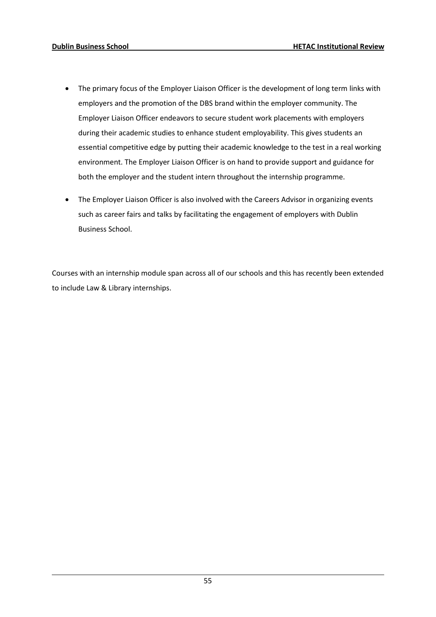- The primary focus of the Employer Liaison Officer is the development of long term links with employers and the promotion of the DBS brand within the employer community. The Employer Liaison Officer endeavors to secure student work placements with employers during their academic studies to enhance student employability. This gives students an essential competitive edge by putting their academic knowledge to the test in a real working environment. The Employer Liaison Officer is on hand to provide support and guidance for both the employer and the student intern throughout the internship programme.
- The Employer Liaison Officer is also involved with the Careers Advisor in organizing events such as career fairs and talks by facilitating the engagement of employers with Dublin Business School.

Courses with an internship module span across all of our schools and this has recently been extended to include Law & Library internships.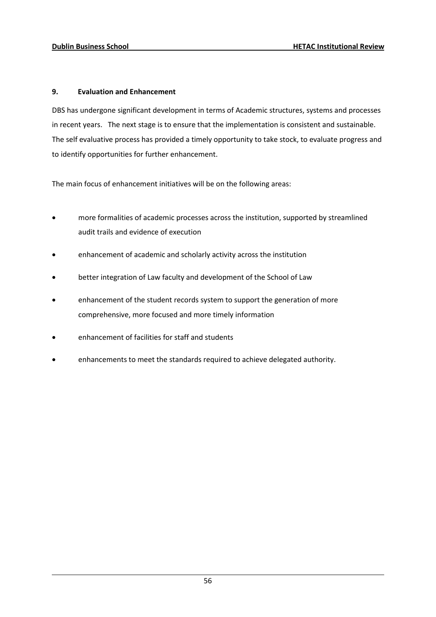# 9. Evaluation and Enhancement

DBS has undergone significant development in terms of Academic structures, systems and processes in recent years. The next stage is to ensure that the implementation is consistent and sustainable. The self evaluative process has provided a timely opportunity to take stock, to evaluate progress and to identify opportunities for further enhancement.

The main focus of enhancement initiatives will be on the following areas:

- more formalities of academic processes across the institution, supported by streamlined audit trails and evidence of execution
- enhancement of academic and scholarly activity across the institution
- better integration of Law faculty and development of the School of Law
- enhancement of the student records system to support the generation of more comprehensive, more focused and more timely information
- enhancement of facilities for staff and students
- enhancements to meet the standards required to achieve delegated authority.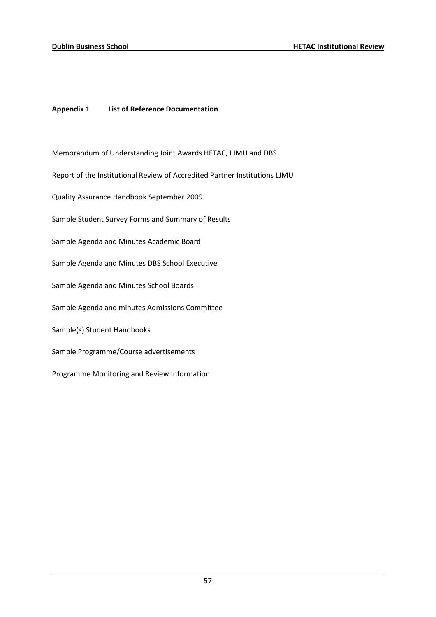# Appendix 1 List of Reference Documentation

Memorandum of Understanding Joint Awards HETAC, LJMU and DBS Report of the Institutional Review of Accredited Partner Institutions LJMU Quality Assurance Handbook September 2009 Sample Student Survey Forms and Summary of Results Sample Agenda and Minutes Academic Board Sample Agenda and Minutes DBS School Executive Sample Agenda and Minutes School Boards Sample Agenda and minutes Admissions Committee Sample(s) Student Handbooks Sample Programme/Course advertisements Programme Monitoring and Review Information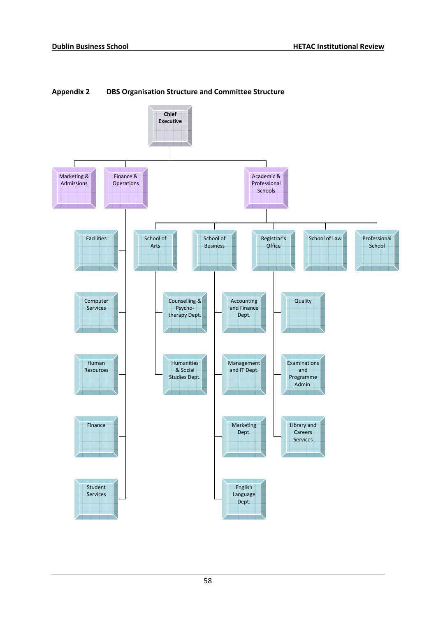

# Appendix 2 DBS Organisation Structure and Committee Structure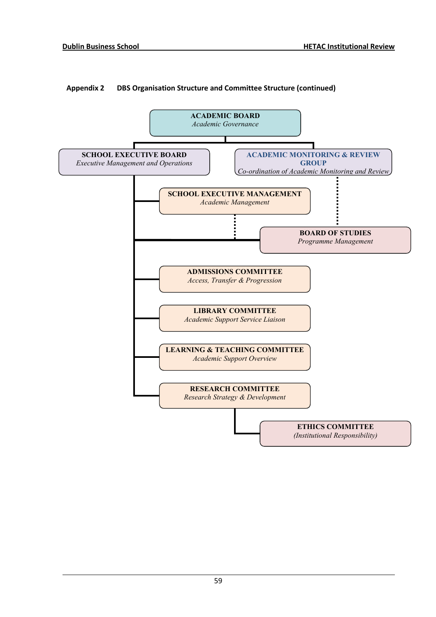

# Appendix 2 DBS Organisation Structure and Committee Structure (continued)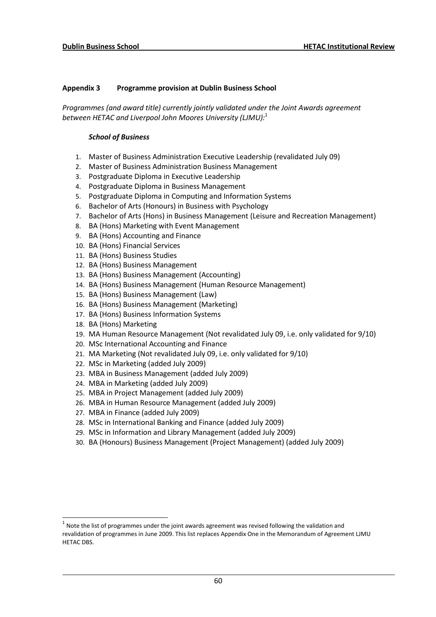# Appendix 3 Programme provision at Dublin Business School

Programmes (and award title) currently jointly validated under the Joint Awards agreement between HETAC and Liverpool John Moores University (LJMU): $^1$ 

## School of Business

- 1. Master of Business Administration Executive Leadership (revalidated July 09)
- 2. Master of Business Administration Business Management
- 3. Postgraduate Diploma in Executive Leadership
- 4. Postgraduate Diploma in Business Management
- 5. Postgraduate Diploma in Computing and Information Systems
- 6. Bachelor of Arts (Honours) in Business with Psychology
- 7. Bachelor of Arts (Hons) in Business Management (Leisure and Recreation Management)
- 8. BA (Hons) Marketing with Event Management
- 9. BA (Hons) Accounting and Finance
- 10. BA (Hons) Financial Services
- 11. BA (Hons) Business Studies
- 12. BA (Hons) Business Management
- 13. BA (Hons) Business Management (Accounting)
- 14. BA (Hons) Business Management (Human Resource Management)
- 15. BA (Hons) Business Management (Law)
- 16. BA (Hons) Business Management (Marketing)
- 17. BA (Hons) Business Information Systems
- 18. BA (Hons) Marketing

l

- 19. MA Human Resource Management (Not revalidated July 09, i.e. only validated for 9/10)
- 20. MSc International Accounting and Finance
- 21. MA Marketing (Not revalidated July 09, i.e. only validated for 9/10)
- 22. MSc in Marketing (added July 2009)
- 23. MBA in Business Management (added July 2009)
- 24. MBA in Marketing (added July 2009)
- 25. MBA in Project Management (added July 2009)
- 26. MBA in Human Resource Management (added July 2009)
- 27. MBA in Finance (added July 2009)
- 28. MSc in International Banking and Finance (added July 2009)
- 29. MSc in Information and Library Management (added July 2009)
- 30. BA (Honours) Business Management (Project Management) (added July 2009)

 $^1$  Note the list of programmes under the joint awards agreement was revised following the validation and revalidation of programmes in June 2009. This list replaces Appendix One in the Memorandum of Agreement LJMU HETAC DBS.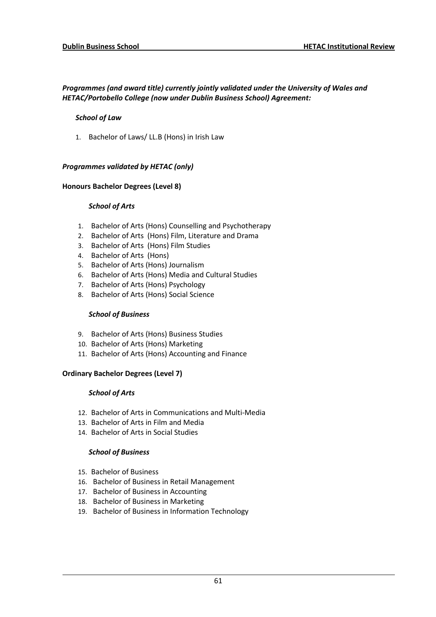# Programmes (and award title) currently jointly validated under the University of Wales and HETAC/Portobello College (now under Dublin Business School) Agreement:

# School of Law

1. Bachelor of Laws/ LL.B (Hons) in Irish Law

# Programmes validated by HETAC (only)

## Honours Bachelor Degrees (Level 8)

# School of Arts

- 1. Bachelor of Arts (Hons) Counselling and Psychotherapy
- 2. Bachelor of Arts (Hons) Film, Literature and Drama
- 3. Bachelor of Arts (Hons) Film Studies
- 4. Bachelor of Arts (Hons)
- 5. Bachelor of Arts (Hons) Journalism
- 6. Bachelor of Arts (Hons) Media and Cultural Studies
- 7. Bachelor of Arts (Hons) Psychology
- 8. Bachelor of Arts (Hons) Social Science

## School of Business

- 9. Bachelor of Arts (Hons) Business Studies
- 10. Bachelor of Arts (Hons) Marketing
- 11. Bachelor of Arts (Hons) Accounting and Finance

# Ordinary Bachelor Degrees (Level 7)

## School of Arts

- 12. Bachelor of Arts in Communications and Multi-Media
- 13. Bachelor of Arts in Film and Media
- 14. Bachelor of Arts in Social Studies

# School of Business

- 15. Bachelor of Business
- 16. Bachelor of Business in Retail Management
- 17. Bachelor of Business in Accounting
- 18. Bachelor of Business in Marketing
- 19. Bachelor of Business in Information Technology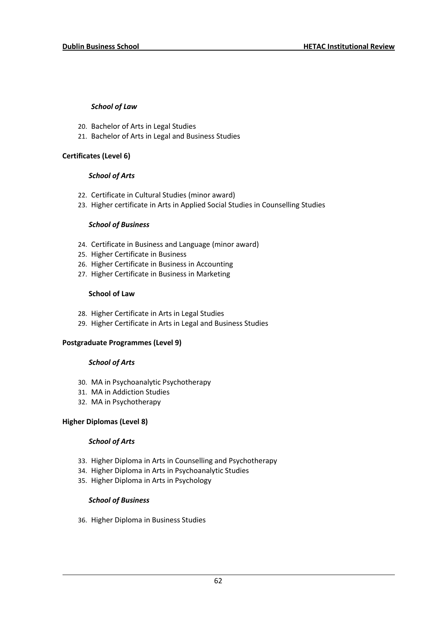# School of Law

- 20. Bachelor of Arts in Legal Studies
- 21. Bachelor of Arts in Legal and Business Studies

# Certificates (Level 6)

# School of Arts

- 22. Certificate in Cultural Studies (minor award)
- 23. Higher certificate in Arts in Applied Social Studies in Counselling Studies

# School of Business

- 24. Certificate in Business and Language (minor award)
- 25. Higher Certificate in Business
- 26. Higher Certificate in Business in Accounting
- 27. Higher Certificate in Business in Marketing

# School of Law

- 28. Higher Certificate in Arts in Legal Studies
- 29. Higher Certificate in Arts in Legal and Business Studies

## Postgraduate Programmes (Level 9)

## School of Arts

- 30. MA in Psychoanalytic Psychotherapy
- 31. MA in Addiction Studies
- 32. MA in Psychotherapy

# Higher Diplomas (Level 8)

## School of Arts

- 33. Higher Diploma in Arts in Counselling and Psychotherapy
- 34. Higher Diploma in Arts in Psychoanalytic Studies
- 35. Higher Diploma in Arts in Psychology

# School of Business

36. Higher Diploma in Business Studies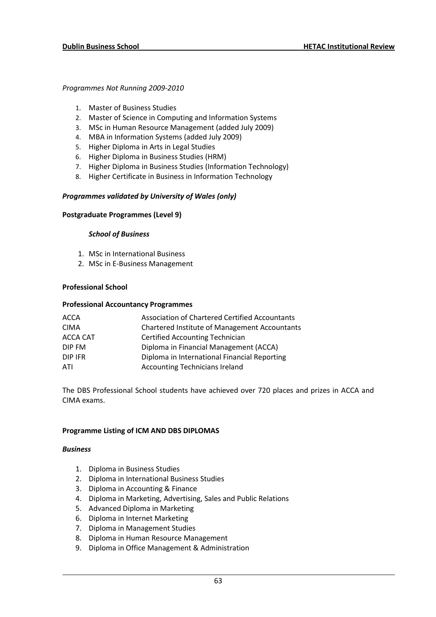Programmes Not Running 2009-2010

- 1. Master of Business Studies
- 2. Master of Science in Computing and Information Systems
- 3. MSc in Human Resource Management (added July 2009)
- 4. MBA in Information Systems (added July 2009)
- 5. Higher Diploma in Arts in Legal Studies
- 6. Higher Diploma in Business Studies (HRM)
- 7. Higher Diploma in Business Studies (Information Technology)
- 8. Higher Certificate in Business in Information Technology

# Programmes validated by University of Wales (only)

## Postgraduate Programmes (Level 9)

#### School of Business

- 1. MSc in International Business
- 2. MSc in E-Business Management

## Professional School

#### Professional Accountancy Programmes

| <b>ACCA</b>     | Association of Chartered Certified Accountants       |
|-----------------|------------------------------------------------------|
| <b>CIMA</b>     | <b>Chartered Institute of Management Accountants</b> |
| <b>ACCA CAT</b> | <b>Certified Accounting Technician</b>               |
| DIP FM          | Diploma in Financial Management (ACCA)               |
| DIP IFR         | Diploma in International Financial Reporting         |
| ATI             | <b>Accounting Technicians Ireland</b>                |

The DBS Professional School students have achieved over 720 places and prizes in ACCA and CIMA exams.

## Programme Listing of ICM AND DBS DIPLOMAS

#### Business

- 1. Diploma in Business Studies
- 2. Diploma in International Business Studies
- 3. Diploma in Accounting & Finance
- 4. Diploma in Marketing, Advertising, Sales and Public Relations
- 5. Advanced Diploma in Marketing
- 6. Diploma in Internet Marketing
- 7. Diploma in Management Studies
- 8. Diploma in Human Resource Management
- 9. Diploma in Office Management & Administration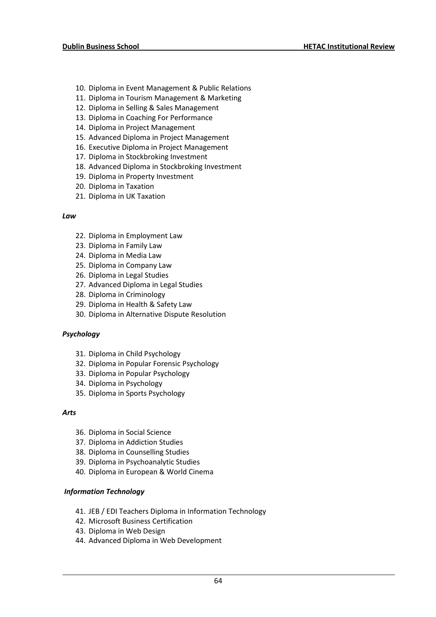- 10. Diploma in Event Management & Public Relations
- 11. Diploma in Tourism Management & Marketing
- 12. Diploma in Selling & Sales Management
- 13. Diploma in Coaching For Performance
- 14. Diploma in Project Management
- 15. Advanced Diploma in Project Management
- 16. Executive Diploma in Project Management
- 17. Diploma in Stockbroking Investment
- 18. Advanced Diploma in Stockbroking Investment
- 19. Diploma in Property Investment
- 20. Diploma in Taxation
- 21. Diploma in UK Taxation

## Law

- 22. Diploma in Employment Law
- 23. Diploma in Family Law
- 24. Diploma in Media Law
- 25. Diploma in Company Law
- 26. Diploma in Legal Studies
- 27. Advanced Diploma in Legal Studies
- 28. Diploma in Criminology
- 29. Diploma in Health & Safety Law
- 30. Diploma in Alternative Dispute Resolution

## Psychology

- 31. Diploma in Child Psychology
- 32. Diploma in Popular Forensic Psychology
- 33. Diploma in Popular Psychology
- 34. Diploma in Psychology
- 35. Diploma in Sports Psychology

## Arts

- 36. Diploma in Social Science
- 37. Diploma in Addiction Studies
- 38. Diploma in Counselling Studies
- 39. Diploma in Psychoanalytic Studies
- 40. Diploma in European & World Cinema

# Information Technology

- 41. JEB / EDI Teachers Diploma in Information Technology
- 42. Microsoft Business Certification
- 43. Diploma in Web Design
- 44. Advanced Diploma in Web Development